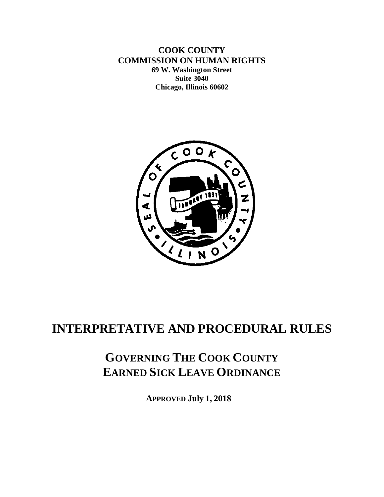**COOK COUNTY COMMISSION ON HUMAN RIGHTS 69 W. Washington Street Suite 3040 Chicago, Illinois 60602**



# **INTERPRETATIVE AND PROCEDURAL RULES**

# **GOVERNING THE COOK COUNTY EARNED SICK LEAVE ORDINANCE**

**APPROVED July 1, 2018**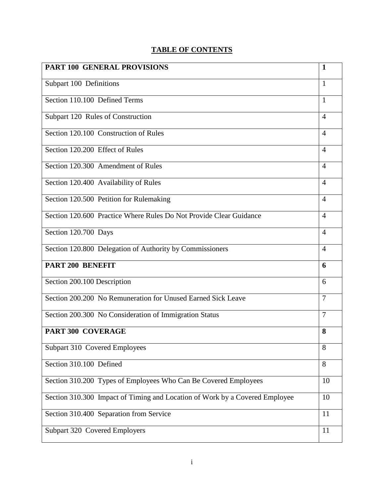# **TABLE OF CONTENTS**

| <b>PART 100 GENERAL PROVISIONS</b>                                          | 1              |
|-----------------------------------------------------------------------------|----------------|
| Subpart 100 Definitions                                                     | 1              |
| Section 110.100 Defined Terms                                               | $\mathbf{1}$   |
| Subpart 120 Rules of Construction                                           | $\overline{4}$ |
| Section 120.100 Construction of Rules                                       | $\overline{4}$ |
| Section 120.200 Effect of Rules                                             | $\overline{A}$ |
| Section 120.300 Amendment of Rules                                          | $\overline{4}$ |
| Section 120.400 Availability of Rules                                       | $\overline{4}$ |
| Section 120.500 Petition for Rulemaking                                     | $\overline{4}$ |
| Section 120.600 Practice Where Rules Do Not Provide Clear Guidance          | $\overline{4}$ |
| Section 120.700 Days                                                        | $\overline{4}$ |
| Section 120.800 Delegation of Authority by Commissioners                    | $\overline{4}$ |
| PART 200 BENEFIT                                                            | 6              |
| Section 200.100 Description                                                 | 6              |
| Section 200.200 No Remuneration for Unused Earned Sick Leave                | 7              |
| Section 200.300 No Consideration of Immigration Status                      | 7              |
| <b>PART 300 COVERAGE</b>                                                    | 8              |
| Subpart 310 Covered Employees                                               | 8              |
| Section 310.100 Defined                                                     | 8              |
| Section 310.200 Types of Employees Who Can Be Covered Employees             | 10             |
| Section 310.300 Impact of Timing and Location of Work by a Covered Employee | 10             |
| Section 310.400 Separation from Service                                     | 11             |
| Subpart 320 Covered Employers                                               | 11             |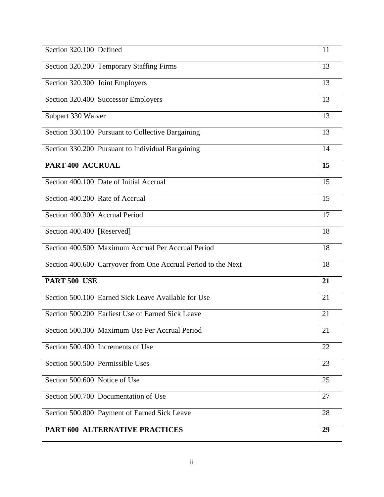| Section 320.100 Defined                                       | 11 |
|---------------------------------------------------------------|----|
| Section 320.200 Temporary Staffing Firms                      | 13 |
| Section 320.300 Joint Employers                               | 13 |
| Section 320.400 Successor Employers                           | 13 |
| Subpart 330 Waiver                                            | 13 |
| Section 330.100 Pursuant to Collective Bargaining             | 13 |
| Section 330.200 Pursuant to Individual Bargaining             | 14 |
| PART 400 ACCRUAL                                              | 15 |
| Section 400.100 Date of Initial Accrual                       | 15 |
| Section 400.200 Rate of Accrual                               | 15 |
| Section 400.300 Accrual Period                                | 17 |
| Section 400.400 [Reserved]                                    | 18 |
| Section 400.500 Maximum Accrual Per Accrual Period            | 18 |
| Section 400.600 Carryover from One Accrual Period to the Next | 18 |
| PART 500 USE                                                  | 21 |
| Section 500.100 Earned Sick Leave Available for Use           | 21 |
| Section 500.200 Earliest Use of Earned Sick Leave             | 21 |
| Section 500.300 Maximum Use Per Accrual Period                | 21 |
| Section 500.400 Increments of Use                             | 22 |
| Section 500.500 Permissible Uses                              | 23 |
| Section 500.600 Notice of Use                                 | 25 |
| Section 500.700 Documentation of Use                          | 27 |
| Section 500.800 Payment of Earned Sick Leave                  | 28 |
| PART 600 ALTERNATIVE PRACTICES                                | 29 |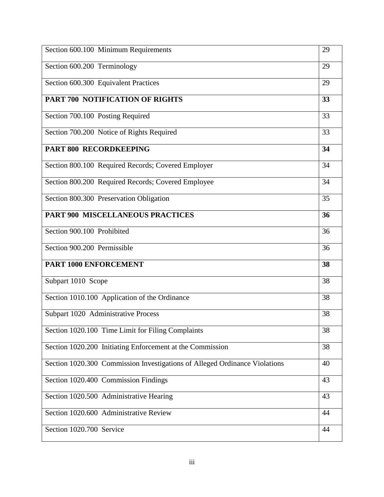| Section 600.100 Minimum Requirements                                       | 29 |
|----------------------------------------------------------------------------|----|
| Section 600.200 Terminology                                                | 29 |
| Section 600.300 Equivalent Practices                                       | 29 |
| PART 700 NOTIFICATION OF RIGHTS                                            | 33 |
| Section 700.100 Posting Required                                           | 33 |
| Section 700.200 Notice of Rights Required                                  | 33 |
| PART 800 RECORDKEEPING                                                     | 34 |
| Section 800.100 Required Records; Covered Employer                         | 34 |
| Section 800.200 Required Records; Covered Employee                         | 34 |
| Section 800.300 Preservation Obligation                                    | 35 |
| PART 900 MISCELLANEOUS PRACTICES                                           | 36 |
| Section 900.100 Prohibited                                                 | 36 |
| Section 900.200 Permissible                                                | 36 |
| <b>PART 1000 ENFORCEMENT</b>                                               | 38 |
| Subpart 1010 Scope                                                         | 38 |
| Section 1010.100 Application of the Ordinance                              | 38 |
| Subpart 1020 Administrative Process                                        | 38 |
| Section 1020.100 Time Limit for Filing Complaints                          | 38 |
| Section 1020.200 Initiating Enforcement at the Commission                  | 38 |
| Section 1020.300 Commission Investigations of Alleged Ordinance Violations | 40 |
| Section 1020.400 Commission Findings                                       | 43 |
| Section 1020.500 Administrative Hearing                                    | 43 |
| Section 1020.600 Administrative Review                                     | 44 |
| Section 1020.700 Service                                                   | 44 |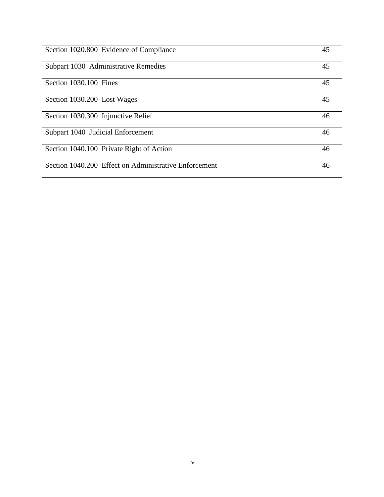| Section 1020.800 Evidence of Compliance               | 45 |
|-------------------------------------------------------|----|
| Subpart 1030 Administrative Remedies                  | 45 |
| Section 1030.100 Fines                                | 45 |
| Section 1030.200 Lost Wages                           | 45 |
| Section 1030.300 Injunctive Relief                    | 46 |
| Subpart 1040 Judicial Enforcement                     | 46 |
| Section 1040.100 Private Right of Action              | 46 |
| Section 1040.200 Effect on Administrative Enforcement | 46 |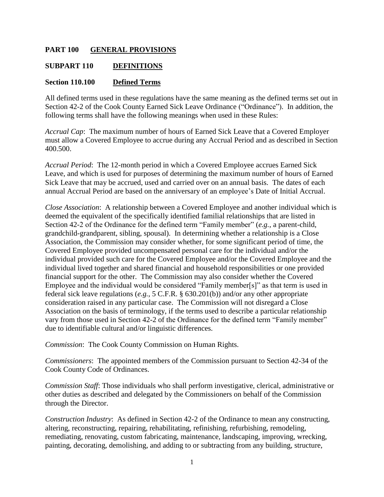#### **PART 100 GENERAL PROVISIONS**

#### **SUBPART 110 DEFINITIONS**

#### **Section 110.100 Defined Terms**

All defined terms used in these regulations have the same meaning as the defined terms set out in Section 42-2 of the Cook County Earned Sick Leave Ordinance ("Ordinance"). In addition, the following terms shall have the following meanings when used in these Rules:

*Accrual Cap*: The maximum number of hours of Earned Sick Leave that a Covered Employer must allow a Covered Employee to accrue during any Accrual Period and as described in Section 400.500.

*Accrual Period*: The 12-month period in which a Covered Employee accrues Earned Sick Leave, and which is used for purposes of determining the maximum number of hours of Earned Sick Leave that may be accrued, used and carried over on an annual basis. The dates of each annual Accrual Period are based on the anniversary of an employee's Date of Initial Accrual.

*Close Association*: A relationship between a Covered Employee and another individual which is deemed the equivalent of the specifically identified familial relationships that are listed in Section 42-2 of the Ordinance for the defined term "Family member" (*e.g.*, a parent-child, grandchild-grandparent, sibling, spousal). In determining whether a relationship is a Close Association, the Commission may consider whether, for some significant period of time, the Covered Employee provided uncompensated personal care for the individual and/or the individual provided such care for the Covered Employee and/or the Covered Employee and the individual lived together and shared financial and household responsibilities or one provided financial support for the other. The Commission may also consider whether the Covered Employee and the individual would be considered "Family member[s]" as that term is used in federal sick leave regulations (*e.g.*, 5 C.F.R. § 630.201(b)) and/or any other appropriate consideration raised in any particular case. The Commission will not disregard a Close Association on the basis of terminology, if the terms used to describe a particular relationship vary from those used in Section 42-2 of the Ordinance for the defined term "Family member" due to identifiable cultural and/or linguistic differences.

*Commission*: The Cook County Commission on Human Rights.

*Commissioners*: The appointed members of the Commission pursuant to Section 42-34 of the Cook County Code of Ordinances.

*Commission Staff*: Those individuals who shall perform investigative, clerical, administrative or other duties as described and delegated by the Commissioners on behalf of the Commission through the Director.

*Construction Industry*: As defined in Section 42-2 of the Ordinance to mean any constructing, altering, reconstructing, repairing, rehabilitating, refinishing, refurbishing, remodeling, remediating, renovating, custom fabricating, maintenance, landscaping, improving, wrecking, painting, decorating, demolishing, and adding to or subtracting from any building, structure,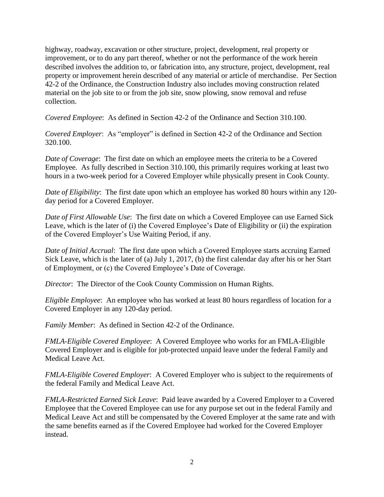highway, roadway, excavation or other structure, project, development, real property or improvement, or to do any part thereof, whether or not the performance of the work herein described involves the addition to, or fabrication into, any structure, project, development, real property or improvement herein described of any material or article of merchandise. Per Section 42-2 of the Ordinance, the Construction Industry also includes moving construction related material on the job site to or from the job site, snow plowing, snow removal and refuse collection.

*Covered Employee*: As defined in Section 42-2 of the Ordinance and Section 310.100.

*Covered Employer*: As "employer" is defined in Section 42-2 of the Ordinance and Section 320.100.

*Date of Coverage*: The first date on which an employee meets the criteria to be a Covered Employee. As fully described in Section 310.100, this primarily requires working at least two hours in a two-week period for a Covered Employer while physically present in Cook County.

*Date of Eligibility*: The first date upon which an employee has worked 80 hours within any 120 day period for a Covered Employer.

*Date of First Allowable Use*: The first date on which a Covered Employee can use Earned Sick Leave, which is the later of (i) the Covered Employee's Date of Eligibility or (ii) the expiration of the Covered Employer's Use Waiting Period, if any.

*Date of Initial Accrual*: The first date upon which a Covered Employee starts accruing Earned Sick Leave, which is the later of (a) July 1, 2017, (b) the first calendar day after his or her Start of Employment, or (c) the Covered Employee's Date of Coverage.

*Director*: The Director of the Cook County Commission on Human Rights.

*Eligible Employee*: An employee who has worked at least 80 hours regardless of location for a Covered Employer in any 120-day period.

*Family Member*: As defined in Section 42-2 of the Ordinance.

*FMLA-Eligible Covered Employee*: A Covered Employee who works for an FMLA-Eligible Covered Employer and is eligible for job-protected unpaid leave under the federal Family and Medical Leave Act.

*FMLA-Eligible Covered Employer*: A Covered Employer who is subject to the requirements of the federal Family and Medical Leave Act.

*FMLA-Restricted Earned Sick Leave*: Paid leave awarded by a Covered Employer to a Covered Employee that the Covered Employee can use for any purpose set out in the federal Family and Medical Leave Act and still be compensated by the Covered Employer at the same rate and with the same benefits earned as if the Covered Employee had worked for the Covered Employer instead.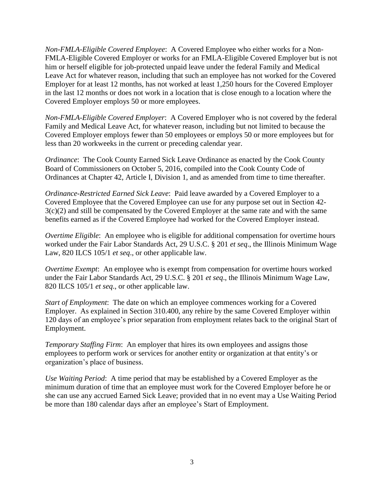*Non-FMLA-Eligible Covered Employee*: A Covered Employee who either works for a Non-FMLA-Eligible Covered Employer or works for an FMLA-Eligible Covered Employer but is not him or herself eligible for job-protected unpaid leave under the federal Family and Medical Leave Act for whatever reason, including that such an employee has not worked for the Covered Employer for at least 12 months, has not worked at least 1,250 hours for the Covered Employer in the last 12 months or does not work in a location that is close enough to a location where the Covered Employer employs 50 or more employees.

*Non-FMLA-Eligible Covered Employer*: A Covered Employer who is not covered by the federal Family and Medical Leave Act, for whatever reason, including but not limited to because the Covered Employer employs fewer than 50 employees or employs 50 or more employees but for less than 20 workweeks in the current or preceding calendar year.

*Ordinance*: The Cook County Earned Sick Leave Ordinance as enacted by the Cook County Board of Commissioners on October 5, 2016, compiled into the Cook County Code of Ordinances at Chapter 42, Article I, Division 1, and as amended from time to time thereafter.

*Ordinance-Restricted Earned Sick Leave*: Paid leave awarded by a Covered Employer to a Covered Employee that the Covered Employee can use for any purpose set out in Section 42- 3(c)(2) and still be compensated by the Covered Employer at the same rate and with the same benefits earned as if the Covered Employee had worked for the Covered Employer instead.

*Overtime Eligible*: An employee who is eligible for additional compensation for overtime hours worked under the Fair Labor Standards Act, 29 U.S.C. § 201 *et seq*., the Illinois Minimum Wage Law, 820 ILCS 105/1 *et seq*., or other applicable law.

*Overtime Exempt*: An employee who is exempt from compensation for overtime hours worked under the Fair Labor Standards Act, 29 U.S.C. § 201 *et seq*., the Illinois Minimum Wage Law, 820 ILCS 105/1 *et seq*., or other applicable law.

*Start of Employment*: The date on which an employee commences working for a Covered Employer. As explained in Section 310.400, any rehire by the same Covered Employer within 120 days of an employee's prior separation from employment relates back to the original Start of Employment.

*Temporary Staffing Firm*: An employer that hires its own employees and assigns those employees to perform work or services for another entity or organization at that entity's or organization's place of business.

*Use Waiting Period*: A time period that may be established by a Covered Employer as the minimum duration of time that an employee must work for the Covered Employer before he or she can use any accrued Earned Sick Leave; provided that in no event may a Use Waiting Period be more than 180 calendar days after an employee's Start of Employment.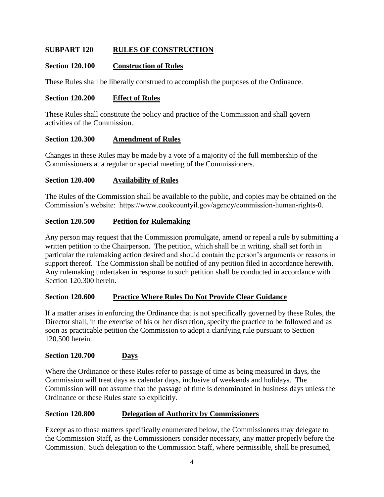## **SUBPART 120 RULES OF CONSTRUCTION**

#### **Section 120.100 Construction of Rules**

These Rules shall be liberally construed to accomplish the purposes of the Ordinance.

#### **Section 120.200 Effect of Rules**

These Rules shall constitute the policy and practice of the Commission and shall govern activities of the Commission.

#### **Section 120.300 Amendment of Rules**

Changes in these Rules may be made by a vote of a majority of the full membership of the Commissioners at a regular or special meeting of the Commissioners.

#### **Section 120.400 Availability of Rules**

The Rules of the Commission shall be available to the public, and copies may be obtained on the Commission's website: https://www.cookcountyil.gov/agency/commission-human-rights-0.

#### **Section 120.500 Petition for Rulemaking**

Any person may request that the Commission promulgate, amend or repeal a rule by submitting a written petition to the Chairperson. The petition, which shall be in writing, shall set forth in particular the rulemaking action desired and should contain the person's arguments or reasons in support thereof. The Commission shall be notified of any petition filed in accordance herewith. Any rulemaking undertaken in response to such petition shall be conducted in accordance with Section 120.300 herein.

#### **Section 120.600 Practice Where Rules Do Not Provide Clear Guidance**

If a matter arises in enforcing the Ordinance that is not specifically governed by these Rules, the Director shall, in the exercise of his or her discretion, specify the practice to be followed and as soon as practicable petition the Commission to adopt a clarifying rule pursuant to Section 120.500 herein.

#### **Section 120.700 Days**

Where the Ordinance or these Rules refer to passage of time as being measured in days, the Commission will treat days as calendar days, inclusive of weekends and holidays. The Commission will not assume that the passage of time is denominated in business days unless the Ordinance or these Rules state so explicitly.

#### **Section 120.800 Delegation of Authority by Commissioners**

Except as to those matters specifically enumerated below, the Commissioners may delegate to the Commission Staff, as the Commissioners consider necessary, any matter properly before the Commission. Such delegation to the Commission Staff, where permissible, shall be presumed,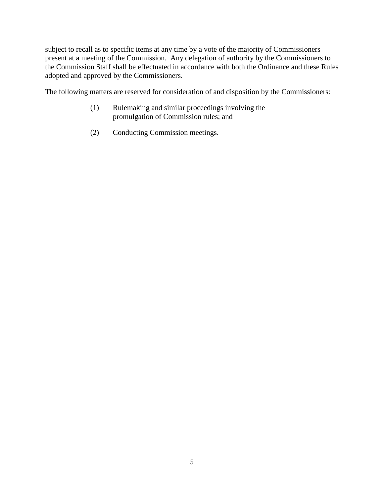subject to recall as to specific items at any time by a vote of the majority of Commissioners present at a meeting of the Commission. Any delegation of authority by the Commissioners to the Commission Staff shall be effectuated in accordance with both the Ordinance and these Rules adopted and approved by the Commissioners.

The following matters are reserved for consideration of and disposition by the Commissioners:

- (1) Rulemaking and similar proceedings involving the promulgation of Commission rules; and
- (2) Conducting Commission meetings.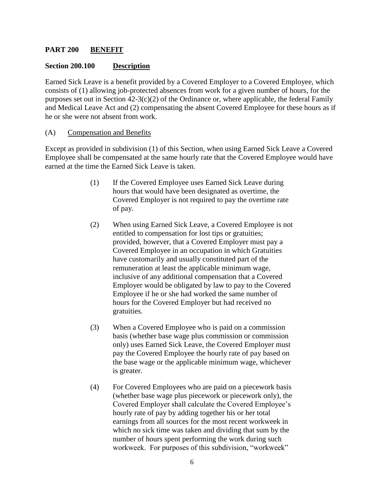### **PART 200 BENEFIT**

#### **Section 200.100 Description**

Earned Sick Leave is a benefit provided by a Covered Employer to a Covered Employee, which consists of (1) allowing job-protected absences from work for a given number of hours, for the purposes set out in Section  $42-3(c)(2)$  of the Ordinance or, where applicable, the federal Family and Medical Leave Act and (2) compensating the absent Covered Employee for these hours as if he or she were not absent from work.

#### (A) Compensation and Benefits

Except as provided in subdivision (1) of this Section, when using Earned Sick Leave a Covered Employee shall be compensated at the same hourly rate that the Covered Employee would have earned at the time the Earned Sick Leave is taken.

- (1) If the Covered Employee uses Earned Sick Leave during hours that would have been designated as overtime, the Covered Employer is not required to pay the overtime rate of pay.
- (2) When using Earned Sick Leave, a Covered Employee is not entitled to compensation for lost tips or gratuities; provided, however, that a Covered Employer must pay a Covered Employee in an occupation in which Gratuities have customarily and usually constituted part of the remuneration at least the applicable minimum wage, inclusive of any additional compensation that a Covered Employer would be obligated by law to pay to the Covered Employee if he or she had worked the same number of hours for the Covered Employer but had received no gratuities.
- (3) When a Covered Employee who is paid on a commission basis (whether base wage plus commission or commission only) uses Earned Sick Leave, the Covered Employer must pay the Covered Employee the hourly rate of pay based on the base wage or the applicable minimum wage, whichever is greater.
- (4) For Covered Employees who are paid on a piecework basis (whether base wage plus piecework or piecework only), the Covered Employer shall calculate the Covered Employee's hourly rate of pay by adding together his or her total earnings from all sources for the most recent workweek in which no sick time was taken and dividing that sum by the number of hours spent performing the work during such workweek. For purposes of this subdivision, "workweek"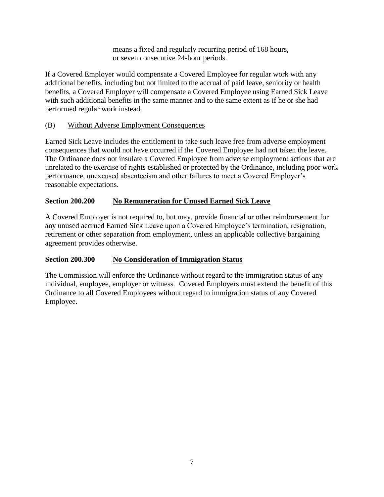means a fixed and regularly recurring period of 168 hours, or seven consecutive 24-hour periods.

If a Covered Employer would compensate a Covered Employee for regular work with any additional benefits, including but not limited to the accrual of paid leave, seniority or health benefits, a Covered Employer will compensate a Covered Employee using Earned Sick Leave with such additional benefits in the same manner and to the same extent as if he or she had performed regular work instead.

## (B) Without Adverse Employment Consequences

Earned Sick Leave includes the entitlement to take such leave free from adverse employment consequences that would not have occurred if the Covered Employee had not taken the leave. The Ordinance does not insulate a Covered Employee from adverse employment actions that are unrelated to the exercise of rights established or protected by the Ordinance, including poor work performance, unexcused absenteeism and other failures to meet a Covered Employer's reasonable expectations.

# **Section 200.200 No Remuneration for Unused Earned Sick Leave**

A Covered Employer is not required to, but may, provide financial or other reimbursement for any unused accrued Earned Sick Leave upon a Covered Employee's termination, resignation, retirement or other separation from employment, unless an applicable collective bargaining agreement provides otherwise.

# **Section 200.300 No Consideration of Immigration Status**

The Commission will enforce the Ordinance without regard to the immigration status of any individual, employee, employer or witness. Covered Employers must extend the benefit of this Ordinance to all Covered Employees without regard to immigration status of any Covered Employee.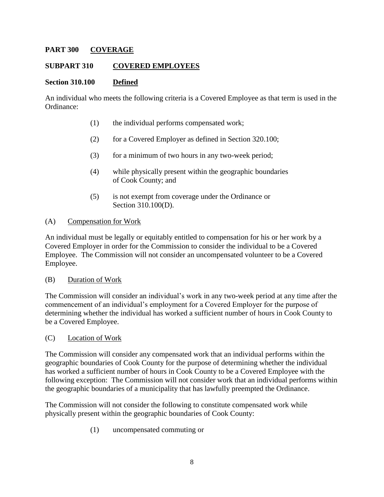### **PART 300 COVERAGE**

#### **SUBPART 310 COVERED EMPLOYEES**

#### **Section 310.100 Defined**

An individual who meets the following criteria is a Covered Employee as that term is used in the Ordinance:

- (1) the individual performs compensated work;
- (2) for a Covered Employer as defined in Section 320.100;
- (3) for a minimum of two hours in any two-week period;
- (4) while physically present within the geographic boundaries of Cook County; and
- (5) is not exempt from coverage under the Ordinance or Section 310.100(D).

#### (A) Compensation for Work

An individual must be legally or equitably entitled to compensation for his or her work by a Covered Employer in order for the Commission to consider the individual to be a Covered Employee. The Commission will not consider an uncompensated volunteer to be a Covered Employee.

#### (B) Duration of Work

The Commission will consider an individual's work in any two-week period at any time after the commencement of an individual's employment for a Covered Employer for the purpose of determining whether the individual has worked a sufficient number of hours in Cook County to be a Covered Employee.

#### (C) Location of Work

The Commission will consider any compensated work that an individual performs within the geographic boundaries of Cook County for the purpose of determining whether the individual has worked a sufficient number of hours in Cook County to be a Covered Employee with the following exception: The Commission will not consider work that an individual performs within the geographic boundaries of a municipality that has lawfully preempted the Ordinance.

The Commission will not consider the following to constitute compensated work while physically present within the geographic boundaries of Cook County:

(1) uncompensated commuting or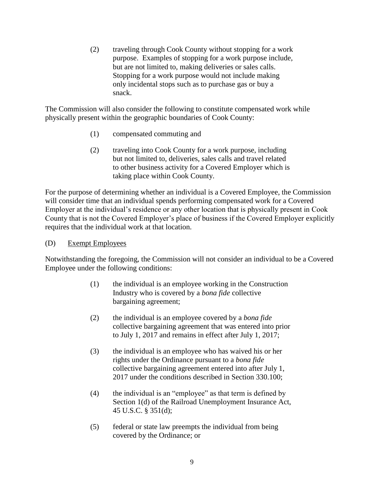(2) traveling through Cook County without stopping for a work purpose. Examples of stopping for a work purpose include, but are not limited to, making deliveries or sales calls. Stopping for a work purpose would not include making only incidental stops such as to purchase gas or buy a snack.

The Commission will also consider the following to constitute compensated work while physically present within the geographic boundaries of Cook County:

- (1) compensated commuting and
- (2) traveling into Cook County for a work purpose, including but not limited to, deliveries, sales calls and travel related to other business activity for a Covered Employer which is taking place within Cook County.

For the purpose of determining whether an individual is a Covered Employee, the Commission will consider time that an individual spends performing compensated work for a Covered Employer at the individual's residence or any other location that is physically present in Cook County that is not the Covered Employer's place of business if the Covered Employer explicitly requires that the individual work at that location.

#### (D) Exempt Employees

Notwithstanding the foregoing, the Commission will not consider an individual to be a Covered Employee under the following conditions:

- (1) the individual is an employee working in the Construction Industry who is covered by a *bona fide* collective bargaining agreement;
- (2) the individual is an employee covered by a *bona fide* collective bargaining agreement that was entered into prior to July 1, 2017 and remains in effect after July 1, 2017;
- (3) the individual is an employee who has waived his or her rights under the Ordinance pursuant to a *bona fide* collective bargaining agreement entered into after July 1, 2017 under the conditions described in Section 330.100;
- (4) the individual is an "employee" as that term is defined by Section 1(d) of the Railroad Unemployment Insurance Act, 45 U.S.C. § 351(d);
- (5) federal or state law preempts the individual from being covered by the Ordinance; or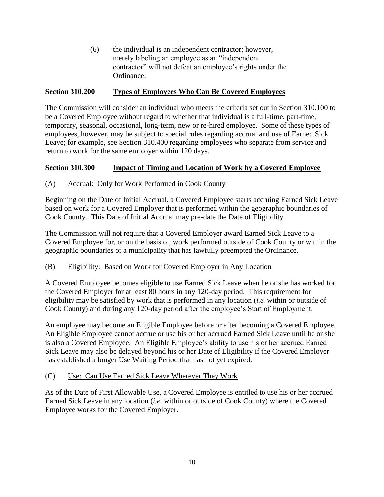(6) the individual is an independent contractor; however, merely labeling an employee as an "independent contractor" will not defeat an employee's rights under the Ordinance.

## **Section 310.200 Types of Employees Who Can Be Covered Employees**

The Commission will consider an individual who meets the criteria set out in Section 310.100 to be a Covered Employee without regard to whether that individual is a full-time, part-time, temporary, seasonal, occasional, long-term, new or re-hired employee. Some of these types of employees, however, may be subject to special rules regarding accrual and use of Earned Sick Leave; for example, see Section 310.400 regarding employees who separate from service and return to work for the same employer within 120 days.

## **Section 310.300 Impact of Timing and Location of Work by a Covered Employee**

## (A) Accrual: Only for Work Performed in Cook County

Beginning on the Date of Initial Accrual, a Covered Employee starts accruing Earned Sick Leave based on work for a Covered Employer that is performed within the geographic boundaries of Cook County. This Date of Initial Accrual may pre-date the Date of Eligibility.

The Commission will not require that a Covered Employer award Earned Sick Leave to a Covered Employee for, or on the basis of, work performed outside of Cook County or within the geographic boundaries of a municipality that has lawfully preempted the Ordinance.

## (B) Eligibility: Based on Work for Covered Employer in Any Location

A Covered Employee becomes eligible to use Earned Sick Leave when he or she has worked for the Covered Employer for at least 80 hours in any 120-day period. This requirement for eligibility may be satisfied by work that is performed in any location (*i.e.* within or outside of Cook County) and during any 120-day period after the employee's Start of Employment.

An employee may become an Eligible Employee before or after becoming a Covered Employee. An Eligible Employee cannot accrue or use his or her accrued Earned Sick Leave until he or she is also a Covered Employee. An Eligible Employee's ability to use his or her accrued Earned Sick Leave may also be delayed beyond his or her Date of Eligibility if the Covered Employer has established a longer Use Waiting Period that has not yet expired.

#### (C) Use: Can Use Earned Sick Leave Wherever They Work

As of the Date of First Allowable Use, a Covered Employee is entitled to use his or her accrued Earned Sick Leave in any location (*i.e.* within or outside of Cook County) where the Covered Employee works for the Covered Employer.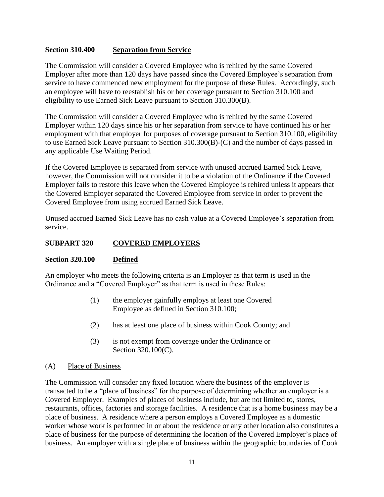## **Section 310.400 Separation from Service**

The Commission will consider a Covered Employee who is rehired by the same Covered Employer after more than 120 days have passed since the Covered Employee's separation from service to have commenced new employment for the purpose of these Rules. Accordingly, such an employee will have to reestablish his or her coverage pursuant to Section 310.100 and eligibility to use Earned Sick Leave pursuant to Section 310.300(B).

The Commission will consider a Covered Employee who is rehired by the same Covered Employer within 120 days since his or her separation from service to have continued his or her employment with that employer for purposes of coverage pursuant to Section 310.100, eligibility to use Earned Sick Leave pursuant to Section 310.300(B)-(C) and the number of days passed in any applicable Use Waiting Period.

If the Covered Employee is separated from service with unused accrued Earned Sick Leave, however, the Commission will not consider it to be a violation of the Ordinance if the Covered Employer fails to restore this leave when the Covered Employee is rehired unless it appears that the Covered Employer separated the Covered Employee from service in order to prevent the Covered Employee from using accrued Earned Sick Leave.

Unused accrued Earned Sick Leave has no cash value at a Covered Employee's separation from service.

## **SUBPART 320 COVERED EMPLOYERS**

#### **Section 320.100 Defined**

An employer who meets the following criteria is an Employer as that term is used in the Ordinance and a "Covered Employer" as that term is used in these Rules:

- (1) the employer gainfully employs at least one Covered Employee as defined in Section 310.100;
- (2) has at least one place of business within Cook County; and
- (3) is not exempt from coverage under the Ordinance or Section 320.100(C).

#### (A) Place of Business

The Commission will consider any fixed location where the business of the employer is transacted to be a "place of business" for the purpose of determining whether an employer is a Covered Employer. Examples of places of business include, but are not limited to, stores, restaurants, offices, factories and storage facilities. A residence that is a home business may be a place of business. A residence where a person employs a Covered Employee as a domestic worker whose work is performed in or about the residence or any other location also constitutes a place of business for the purpose of determining the location of the Covered Employer's place of business. An employer with a single place of business within the geographic boundaries of Cook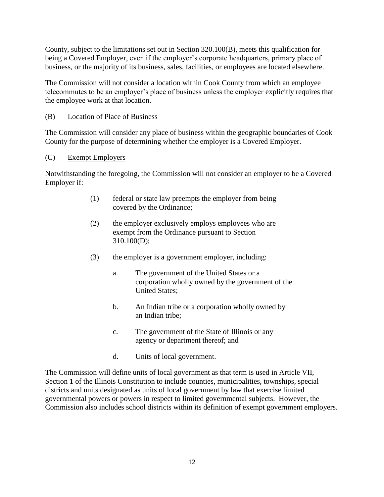County, subject to the limitations set out in Section 320.100(B), meets this qualification for being a Covered Employer, even if the employer's corporate headquarters, primary place of business, or the majority of its business, sales, facilities, or employees are located elsewhere.

The Commission will not consider a location within Cook County from which an employee telecommutes to be an employer's place of business unless the employer explicitly requires that the employee work at that location.

## (B) Location of Place of Business

The Commission will consider any place of business within the geographic boundaries of Cook County for the purpose of determining whether the employer is a Covered Employer.

## (C) Exempt Employers

Notwithstanding the foregoing, the Commission will not consider an employer to be a Covered Employer if:

- (1) federal or state law preempts the employer from being covered by the Ordinance;
- (2) the employer exclusively employs employees who are exempt from the Ordinance pursuant to Section 310.100(D);
- (3) the employer is a government employer, including:
	- a. The government of the United States or a corporation wholly owned by the government of the United States;
	- b. An Indian tribe or a corporation wholly owned by an Indian tribe;
	- c. The government of the State of Illinois or any agency or department thereof; and
	- d. Units of local government.

The Commission will define units of local government as that term is used in Article VII, Section 1 of the Illinois Constitution to include counties, municipalities, townships, special districts and units designated as units of local government by law that exercise limited governmental powers or powers in respect to limited governmental subjects. However, the Commission also includes school districts within its definition of exempt government employers.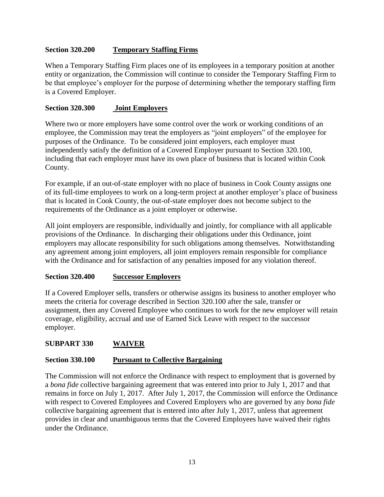## **Section 320.200 Temporary Staffing Firms**

When a Temporary Staffing Firm places one of its employees in a temporary position at another entity or organization, the Commission will continue to consider the Temporary Staffing Firm to be that employee's employer for the purpose of determining whether the temporary staffing firm is a Covered Employer.

## **Section 320.300 Joint Employers**

Where two or more employers have some control over the work or working conditions of an employee, the Commission may treat the employers as "joint employers" of the employee for purposes of the Ordinance. To be considered joint employers, each employer must independently satisfy the definition of a Covered Employer pursuant to Section 320.100, including that each employer must have its own place of business that is located within Cook County.

For example, if an out-of-state employer with no place of business in Cook County assigns one of its full-time employees to work on a long-term project at another employer's place of business that is located in Cook County, the out-of-state employer does not become subject to the requirements of the Ordinance as a joint employer or otherwise.

All joint employers are responsible, individually and jointly, for compliance with all applicable provisions of the Ordinance. In discharging their obligations under this Ordinance, joint employers may allocate responsibility for such obligations among themselves. Notwithstanding any agreement among joint employers, all joint employers remain responsible for compliance with the Ordinance and for satisfaction of any penalties imposed for any violation thereof.

## **Section 320.400 Successor Employers**

If a Covered Employer sells, transfers or otherwise assigns its business to another employer who meets the criteria for coverage described in Section 320.100 after the sale, transfer or assignment, then any Covered Employee who continues to work for the new employer will retain coverage, eligibility, accrual and use of Earned Sick Leave with respect to the successor employer.

## **SUBPART 330 WAIVER**

## **Section 330.100 Pursuant to Collective Bargaining**

The Commission will not enforce the Ordinance with respect to employment that is governed by a *bona fide* collective bargaining agreement that was entered into prior to July 1, 2017 and that remains in force on July 1, 2017. After July 1, 2017, the Commission will enforce the Ordinance with respect to Covered Employees and Covered Employers who are governed by any *bona fide* collective bargaining agreement that is entered into after July 1, 2017, unless that agreement provides in clear and unambiguous terms that the Covered Employees have waived their rights under the Ordinance.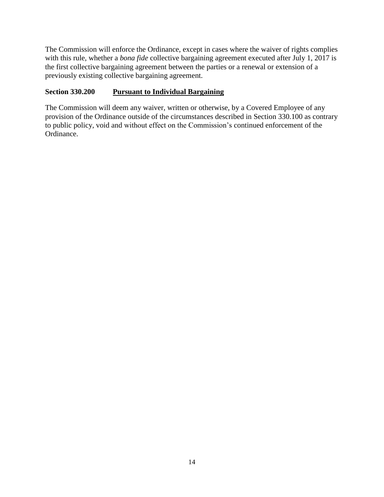The Commission will enforce the Ordinance, except in cases where the waiver of rights complies with this rule, whether a *bona fide* collective bargaining agreement executed after July 1, 2017 is the first collective bargaining agreement between the parties or a renewal or extension of a previously existing collective bargaining agreement.

## **Section 330.200 Pursuant to Individual Bargaining**

The Commission will deem any waiver, written or otherwise, by a Covered Employee of any provision of the Ordinance outside of the circumstances described in Section 330.100 as contrary to public policy, void and without effect on the Commission's continued enforcement of the Ordinance.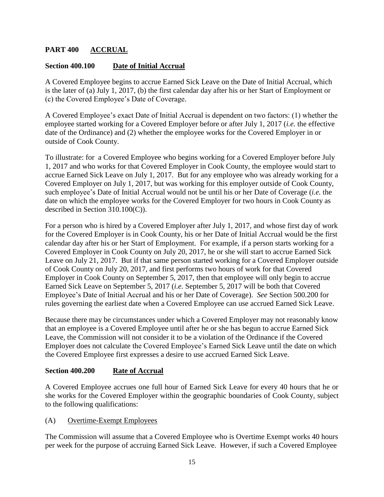# **PART 400 ACCRUAL**

## **Section 400.100 Date of Initial Accrual**

A Covered Employee begins to accrue Earned Sick Leave on the Date of Initial Accrual, which is the later of (a) July 1, 2017, (b) the first calendar day after his or her Start of Employment or (c) the Covered Employee's Date of Coverage.

A Covered Employee's exact Date of Initial Accrual is dependent on two factors: (1) whether the employee started working for a Covered Employer before or after July 1, 2017 (*i.e.* the effective date of the Ordinance) and (2) whether the employee works for the Covered Employer in or outside of Cook County.

To illustrate: for a Covered Employee who begins working for a Covered Employer before July 1, 2017 and who works for that Covered Employer in Cook County, the employee would start to accrue Earned Sick Leave on July 1, 2017. But for any employee who was already working for a Covered Employer on July 1, 2017, but was working for this employer outside of Cook County, such employee's Date of Initial Accrual would not be until his or her Date of Coverage (*i.e.* the date on which the employee works for the Covered Employer for two hours in Cook County as described in Section 310.100(C)).

For a person who is hired by a Covered Employer after July 1, 2017, and whose first day of work for the Covered Employer is in Cook County, his or her Date of Initial Accrual would be the first calendar day after his or her Start of Employment. For example, if a person starts working for a Covered Employer in Cook County on July 20, 2017, he or she will start to accrue Earned Sick Leave on July 21, 2017. But if that same person started working for a Covered Employer outside of Cook County on July 20, 2017, and first performs two hours of work for that Covered Employer in Cook County on September 5, 2017, then that employee will only begin to accrue Earned Sick Leave on September 5, 2017 (*i.e.* September 5, 2017 will be both that Covered Employee's Date of Initial Accrual and his or her Date of Coverage). *See* Section 500.200 for rules governing the earliest date when a Covered Employee can use accrued Earned Sick Leave.

Because there may be circumstances under which a Covered Employer may not reasonably know that an employee is a Covered Employee until after he or she has begun to accrue Earned Sick Leave, the Commission will not consider it to be a violation of the Ordinance if the Covered Employer does not calculate the Covered Employee's Earned Sick Leave until the date on which the Covered Employee first expresses a desire to use accrued Earned Sick Leave.

## **Section 400.200 Rate of Accrual**

A Covered Employee accrues one full hour of Earned Sick Leave for every 40 hours that he or she works for the Covered Employer within the geographic boundaries of Cook County, subject to the following qualifications:

(A) Overtime-Exempt Employees

The Commission will assume that a Covered Employee who is Overtime Exempt works 40 hours per week for the purpose of accruing Earned Sick Leave. However, if such a Covered Employee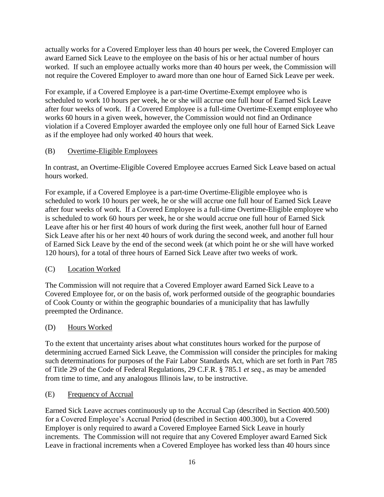actually works for a Covered Employer less than 40 hours per week, the Covered Employer can award Earned Sick Leave to the employee on the basis of his or her actual number of hours worked. If such an employee actually works more than 40 hours per week, the Commission will not require the Covered Employer to award more than one hour of Earned Sick Leave per week.

For example, if a Covered Employee is a part-time Overtime-Exempt employee who is scheduled to work 10 hours per week, he or she will accrue one full hour of Earned Sick Leave after four weeks of work. If a Covered Employee is a full-time Overtime-Exempt employee who works 60 hours in a given week, however, the Commission would not find an Ordinance violation if a Covered Employer awarded the employee only one full hour of Earned Sick Leave as if the employee had only worked 40 hours that week.

# (B) Overtime-Eligible Employees

In contrast, an Overtime-Eligible Covered Employee accrues Earned Sick Leave based on actual hours worked.

For example, if a Covered Employee is a part-time Overtime-Eligible employee who is scheduled to work 10 hours per week, he or she will accrue one full hour of Earned Sick Leave after four weeks of work. If a Covered Employee is a full-time Overtime-Eligible employee who is scheduled to work 60 hours per week, he or she would accrue one full hour of Earned Sick Leave after his or her first 40 hours of work during the first week, another full hour of Earned Sick Leave after his or her next 40 hours of work during the second week, and another full hour of Earned Sick Leave by the end of the second week (at which point he or she will have worked 120 hours), for a total of three hours of Earned Sick Leave after two weeks of work.

# (C) Location Worked

The Commission will not require that a Covered Employer award Earned Sick Leave to a Covered Employee for, or on the basis of, work performed outside of the geographic boundaries of Cook County or within the geographic boundaries of a municipality that has lawfully preempted the Ordinance.

## (D) Hours Worked

To the extent that uncertainty arises about what constitutes hours worked for the purpose of determining accrued Earned Sick Leave, the Commission will consider the principles for making such determinations for purposes of the Fair Labor Standards Act, which are set forth in Part 785 of Title 29 of the Code of Federal Regulations, 29 C.F.R. § 785.1 *et seq*., as may be amended from time to time, and any analogous Illinois law, to be instructive.

## (E) Frequency of Accrual

Earned Sick Leave accrues continuously up to the Accrual Cap (described in Section 400.500) for a Covered Employee's Accrual Period (described in Section 400.300), but a Covered Employer is only required to award a Covered Employee Earned Sick Leave in hourly increments. The Commission will not require that any Covered Employer award Earned Sick Leave in fractional increments when a Covered Employee has worked less than 40 hours since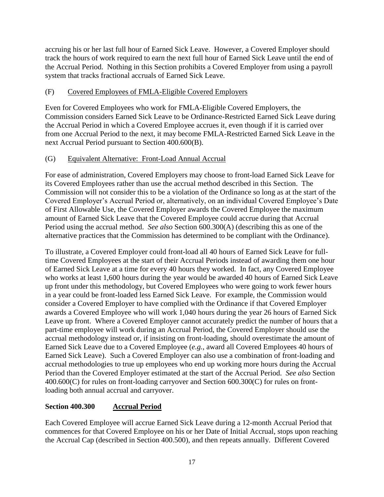accruing his or her last full hour of Earned Sick Leave. However, a Covered Employer should track the hours of work required to earn the next full hour of Earned Sick Leave until the end of the Accrual Period. Nothing in this Section prohibits a Covered Employer from using a payroll system that tracks fractional accruals of Earned Sick Leave.

# (F) Covered Employees of FMLA-Eligible Covered Employers

Even for Covered Employees who work for FMLA-Eligible Covered Employers, the Commission considers Earned Sick Leave to be Ordinance-Restricted Earned Sick Leave during the Accrual Period in which a Covered Employee accrues it, even though if it is carried over from one Accrual Period to the next, it may become FMLA-Restricted Earned Sick Leave in the next Accrual Period pursuant to Section 400.600(B).

# (G) Equivalent Alternative: Front-Load Annual Accrual

For ease of administration, Covered Employers may choose to front-load Earned Sick Leave for its Covered Employees rather than use the accrual method described in this Section. The Commission will not consider this to be a violation of the Ordinance so long as at the start of the Covered Employer's Accrual Period or, alternatively, on an individual Covered Employee's Date of First Allowable Use, the Covered Employer awards the Covered Employee the maximum amount of Earned Sick Leave that the Covered Employee could accrue during that Accrual Period using the accrual method. *See also* Section 600.300(A) (describing this as one of the alternative practices that the Commission has determined to be compliant with the Ordinance).

To illustrate, a Covered Employer could front-load all 40 hours of Earned Sick Leave for fulltime Covered Employees at the start of their Accrual Periods instead of awarding them one hour of Earned Sick Leave at a time for every 40 hours they worked. In fact, any Covered Employee who works at least 1,600 hours during the year would be awarded 40 hours of Earned Sick Leave up front under this methodology, but Covered Employees who were going to work fewer hours in a year could be front-loaded less Earned Sick Leave. For example, the Commission would consider a Covered Employer to have complied with the Ordinance if that Covered Employer awards a Covered Employee who will work 1,040 hours during the year 26 hours of Earned Sick Leave up front. Where a Covered Employer cannot accurately predict the number of hours that a part-time employee will work during an Accrual Period, the Covered Employer should use the accrual methodology instead or, if insisting on front-loading, should overestimate the amount of Earned Sick Leave due to a Covered Employee (*e.g.*, award all Covered Employees 40 hours of Earned Sick Leave). Such a Covered Employer can also use a combination of front-loading and accrual methodologies to true up employees who end up working more hours during the Accrual Period than the Covered Employer estimated at the start of the Accrual Period. *See also* Section 400.600(C) for rules on front-loading carryover and Section 600.300(C) for rules on frontloading both annual accrual and carryover.

# **Section 400.300 Accrual Period**

Each Covered Employee will accrue Earned Sick Leave during a 12-month Accrual Period that commences for that Covered Employee on his or her Date of Initial Accrual, stops upon reaching the Accrual Cap (described in Section 400.500), and then repeats annually. Different Covered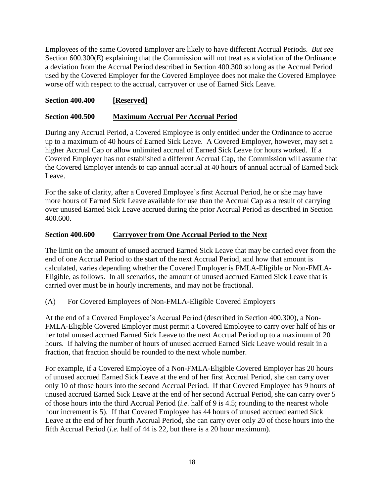Employees of the same Covered Employer are likely to have different Accrual Periods. *But see* Section 600.300(E) explaining that the Commission will not treat as a violation of the Ordinance a deviation from the Accrual Period described in Section 400.300 so long as the Accrual Period used by the Covered Employer for the Covered Employee does not make the Covered Employee worse off with respect to the accrual, carryover or use of Earned Sick Leave.

## **Section 400.400 [Reserved]**

#### **Section 400.500 Maximum Accrual Per Accrual Period**

During any Accrual Period, a Covered Employee is only entitled under the Ordinance to accrue up to a maximum of 40 hours of Earned Sick Leave. A Covered Employer, however, may set a higher Accrual Cap or allow unlimited accrual of Earned Sick Leave for hours worked. If a Covered Employer has not established a different Accrual Cap, the Commission will assume that the Covered Employer intends to cap annual accrual at 40 hours of annual accrual of Earned Sick Leave.

For the sake of clarity, after a Covered Employee's first Accrual Period, he or she may have more hours of Earned Sick Leave available for use than the Accrual Cap as a result of carrying over unused Earned Sick Leave accrued during the prior Accrual Period as described in Section 400.600.

#### **Section 400.600 Carryover from One Accrual Period to the Next**

The limit on the amount of unused accrued Earned Sick Leave that may be carried over from the end of one Accrual Period to the start of the next Accrual Period, and how that amount is calculated, varies depending whether the Covered Employer is FMLA-Eligible or Non-FMLA-Eligible, as follows. In all scenarios, the amount of unused accrued Earned Sick Leave that is carried over must be in hourly increments, and may not be fractional.

#### (A) For Covered Employees of Non-FMLA-Eligible Covered Employers

At the end of a Covered Employee's Accrual Period (described in Section 400.300), a Non-FMLA-Eligible Covered Employer must permit a Covered Employee to carry over half of his or her total unused accrued Earned Sick Leave to the next Accrual Period up to a maximum of 20 hours. If halving the number of hours of unused accrued Earned Sick Leave would result in a fraction, that fraction should be rounded to the next whole number.

For example, if a Covered Employee of a Non-FMLA-Eligible Covered Employer has 20 hours of unused accrued Earned Sick Leave at the end of her first Accrual Period, she can carry over only 10 of those hours into the second Accrual Period. If that Covered Employee has 9 hours of unused accrued Earned Sick Leave at the end of her second Accrual Period, she can carry over 5 of those hours into the third Accrual Period (*i.e.* half of 9 is 4.5; rounding to the nearest whole hour increment is 5). If that Covered Employee has 44 hours of unused accrued earned Sick Leave at the end of her fourth Accrual Period, she can carry over only 20 of those hours into the fifth Accrual Period (*i.e.* half of 44 is 22, but there is a 20 hour maximum).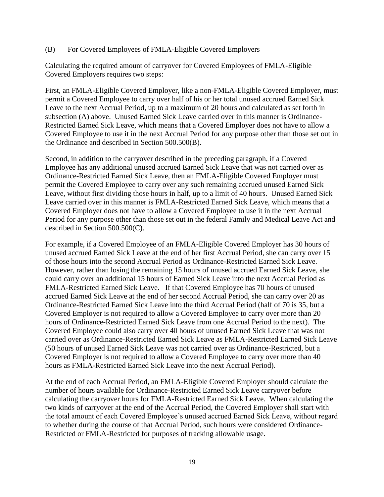#### (B) For Covered Employees of FMLA-Eligible Covered Employers

Calculating the required amount of carryover for Covered Employees of FMLA-Eligible Covered Employers requires two steps:

First, an FMLA-Eligible Covered Employer, like a non-FMLA-Eligible Covered Employer, must permit a Covered Employee to carry over half of his or her total unused accrued Earned Sick Leave to the next Accrual Period, up to a maximum of 20 hours and calculated as set forth in subsection (A) above. Unused Earned Sick Leave carried over in this manner is Ordinance-Restricted Earned Sick Leave, which means that a Covered Employer does not have to allow a Covered Employee to use it in the next Accrual Period for any purpose other than those set out in the Ordinance and described in Section 500.500(B).

Second, in addition to the carryover described in the preceding paragraph, if a Covered Employee has any additional unused accrued Earned Sick Leave that was not carried over as Ordinance-Restricted Earned Sick Leave, then an FMLA-Eligible Covered Employer must permit the Covered Employee to carry over any such remaining accrued unused Earned Sick Leave, without first dividing those hours in half, up to a limit of 40 hours. Unused Earned Sick Leave carried over in this manner is FMLA-Restricted Earned Sick Leave, which means that a Covered Employer does not have to allow a Covered Employee to use it in the next Accrual Period for any purpose other than those set out in the federal Family and Medical Leave Act and described in Section 500.500(C).

For example, if a Covered Employee of an FMLA-Eligible Covered Employer has 30 hours of unused accrued Earned Sick Leave at the end of her first Accrual Period, she can carry over 15 of those hours into the second Accrual Period as Ordinance-Restricted Earned Sick Leave. However, rather than losing the remaining 15 hours of unused accrued Earned Sick Leave, she could carry over an additional 15 hours of Earned Sick Leave into the next Accrual Period as FMLA-Restricted Earned Sick Leave. If that Covered Employee has 70 hours of unused accrued Earned Sick Leave at the end of her second Accrual Period, she can carry over 20 as Ordinance-Restricted Earned Sick Leave into the third Accrual Period (half of 70 is 35, but a Covered Employer is not required to allow a Covered Employee to carry over more than 20 hours of Ordinance-Restricted Earned Sick Leave from one Accrual Period to the next). The Covered Employee could also carry over 40 hours of unused Earned Sick Leave that was not carried over as Ordinance-Restricted Earned Sick Leave as FMLA-Restricted Earned Sick Leave (50 hours of unused Earned Sick Leave was not carried over as Ordinance-Restricted, but a Covered Employer is not required to allow a Covered Employee to carry over more than 40 hours as FMLA-Restricted Earned Sick Leave into the next Accrual Period).

At the end of each Accrual Period, an FMLA-Eligible Covered Employer should calculate the number of hours available for Ordinance-Restricted Earned Sick Leave carryover before calculating the carryover hours for FMLA-Restricted Earned Sick Leave. When calculating the two kinds of carryover at the end of the Accrual Period, the Covered Employer shall start with the total amount of each Covered Employee's unused accrued Earned Sick Leave, without regard to whether during the course of that Accrual Period, such hours were considered Ordinance-Restricted or FMLA-Restricted for purposes of tracking allowable usage.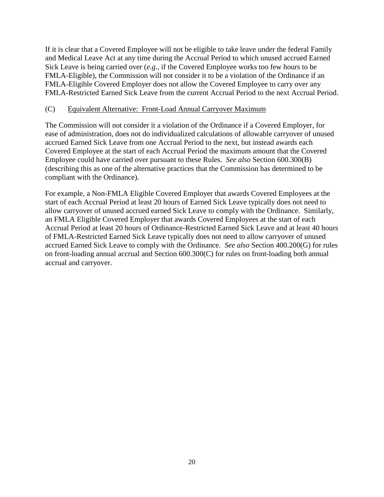If it is clear that a Covered Employee will not be eligible to take leave under the federal Family and Medical Leave Act at any time during the Accrual Period to which unused accrued Earned Sick Leave is being carried over (*e.g.*, if the Covered Employee works too few hours to be FMLA-Eligible), the Commission will not consider it to be a violation of the Ordinance if an FMLA-Eligible Covered Employer does not allow the Covered Employee to carry over any FMLA-Restricted Earned Sick Leave from the current Accrual Period to the next Accrual Period.

#### (C) Equivalent Alternative: Front-Load Annual Carryover Maximum

The Commission will not consider it a violation of the Ordinance if a Covered Employer, for ease of administration, does not do individualized calculations of allowable carryover of unused accrued Earned Sick Leave from one Accrual Period to the next, but instead awards each Covered Employee at the start of each Accrual Period the maximum amount that the Covered Employee could have carried over pursuant to these Rules. *See also* Section 600.300(B) (describing this as one of the alternative practices that the Commission has determined to be compliant with the Ordinance).

For example, a Non-FMLA Eligible Covered Employer that awards Covered Employees at the start of each Accrual Period at least 20 hours of Earned Sick Leave typically does not need to allow carryover of unused accrued earned Sick Leave to comply with the Ordinance. Similarly, an FMLA Eligible Covered Employer that awards Covered Employees at the start of each Accrual Period at least 20 hours of Ordinance-Restricted Earned Sick Leave and at least 40 hours of FMLA-Restricted Earned Sick Leave typically does not need to allow carryover of unused accrued Earned Sick Leave to comply with the Ordinance. *See also* Section 400.200(G) for rules on front-loading annual accrual and Section 600.300(C) for rules on front-loading both annual accrual and carryover.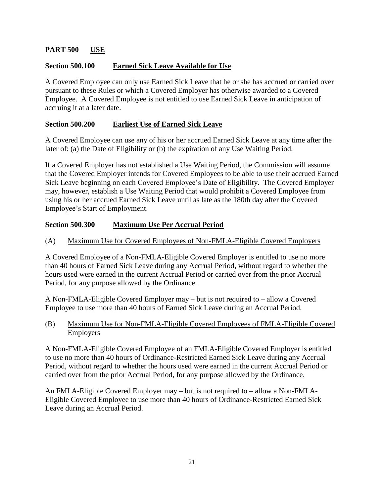## **PART 500 USE**

## **Section 500.100 Earned Sick Leave Available for Use**

A Covered Employee can only use Earned Sick Leave that he or she has accrued or carried over pursuant to these Rules or which a Covered Employer has otherwise awarded to a Covered Employee. A Covered Employee is not entitled to use Earned Sick Leave in anticipation of accruing it at a later date.

## **Section 500.200 Earliest Use of Earned Sick Leave**

A Covered Employee can use any of his or her accrued Earned Sick Leave at any time after the later of: (a) the Date of Eligibility or (b) the expiration of any Use Waiting Period.

If a Covered Employer has not established a Use Waiting Period, the Commission will assume that the Covered Employer intends for Covered Employees to be able to use their accrued Earned Sick Leave beginning on each Covered Employee's Date of Eligibility. The Covered Employer may, however, establish a Use Waiting Period that would prohibit a Covered Employee from using his or her accrued Earned Sick Leave until as late as the 180th day after the Covered Employee's Start of Employment.

# **Section 500.300 Maximum Use Per Accrual Period**

## (A) Maximum Use for Covered Employees of Non-FMLA-Eligible Covered Employers

A Covered Employee of a Non-FMLA-Eligible Covered Employer is entitled to use no more than 40 hours of Earned Sick Leave during any Accrual Period, without regard to whether the hours used were earned in the current Accrual Period or carried over from the prior Accrual Period, for any purpose allowed by the Ordinance.

A Non-FMLA-Eligible Covered Employer may – but is not required to – allow a Covered Employee to use more than 40 hours of Earned Sick Leave during an Accrual Period.

(B) Maximum Use for Non-FMLA-Eligible Covered Employees of FMLA-Eligible Covered Employers

A Non-FMLA-Eligible Covered Employee of an FMLA-Eligible Covered Employer is entitled to use no more than 40 hours of Ordinance-Restricted Earned Sick Leave during any Accrual Period, without regard to whether the hours used were earned in the current Accrual Period or carried over from the prior Accrual Period, for any purpose allowed by the Ordinance.

An FMLA-Eligible Covered Employer may – but is not required to – allow a Non-FMLA-Eligible Covered Employee to use more than 40 hours of Ordinance-Restricted Earned Sick Leave during an Accrual Period.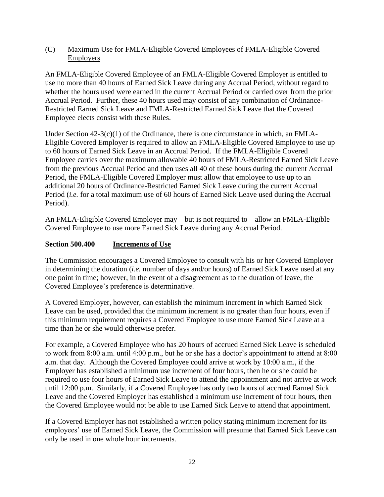## (C) Maximum Use for FMLA-Eligible Covered Employees of FMLA-Eligible Covered **Employers**

An FMLA-Eligible Covered Employee of an FMLA-Eligible Covered Employer is entitled to use no more than 40 hours of Earned Sick Leave during any Accrual Period, without regard to whether the hours used were earned in the current Accrual Period or carried over from the prior Accrual Period. Further, these 40 hours used may consist of any combination of Ordinance-Restricted Earned Sick Leave and FMLA-Restricted Earned Sick Leave that the Covered Employee elects consist with these Rules.

Under Section  $42-3(c)(1)$  of the Ordinance, there is one circumstance in which, an FMLA-Eligible Covered Employer is required to allow an FMLA-Eligible Covered Employee to use up to 60 hours of Earned Sick Leave in an Accrual Period. If the FMLA-Eligible Covered Employee carries over the maximum allowable 40 hours of FMLA-Restricted Earned Sick Leave from the previous Accrual Period and then uses all 40 of these hours during the current Accrual Period, the FMLA-Eligible Covered Employer must allow that employee to use up to an additional 20 hours of Ordinance-Restricted Earned Sick Leave during the current Accrual Period (*i.e.* for a total maximum use of 60 hours of Earned Sick Leave used during the Accrual Period).

An FMLA-Eligible Covered Employer may – but is not required to – allow an FMLA-Eligible Covered Employee to use more Earned Sick Leave during any Accrual Period.

# **Section 500.400 Increments of Use**

The Commission encourages a Covered Employee to consult with his or her Covered Employer in determining the duration (*i.e.* number of days and/or hours) of Earned Sick Leave used at any one point in time; however, in the event of a disagreement as to the duration of leave, the Covered Employee's preference is determinative.

A Covered Employer, however, can establish the minimum increment in which Earned Sick Leave can be used, provided that the minimum increment is no greater than four hours, even if this minimum requirement requires a Covered Employee to use more Earned Sick Leave at a time than he or she would otherwise prefer.

For example, a Covered Employee who has 20 hours of accrued Earned Sick Leave is scheduled to work from 8:00 a.m. until 4:00 p.m., but he or she has a doctor's appointment to attend at 8:00 a.m. that day. Although the Covered Employee could arrive at work by 10:00 a.m., if the Employer has established a minimum use increment of four hours, then he or she could be required to use four hours of Earned Sick Leave to attend the appointment and not arrive at work until 12:00 p.m. Similarly, if a Covered Employee has only two hours of accrued Earned Sick Leave and the Covered Employer has established a minimum use increment of four hours, then the Covered Employee would not be able to use Earned Sick Leave to attend that appointment.

If a Covered Employer has not established a written policy stating minimum increment for its employees' use of Earned Sick Leave, the Commission will presume that Earned Sick Leave can only be used in one whole hour increments.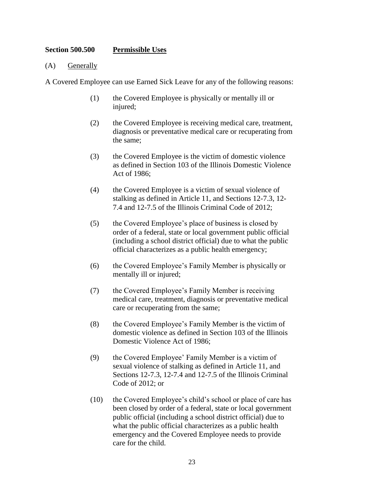#### **Section 500.500 Permissible Uses**

#### (A) Generally

A Covered Employee can use Earned Sick Leave for any of the following reasons:

- (1) the Covered Employee is physically or mentally ill or injured;
- (2) the Covered Employee is receiving medical care, treatment, diagnosis or preventative medical care or recuperating from the same;
- (3) the Covered Employee is the victim of domestic violence as defined in Section 103 of the Illinois Domestic Violence Act of 1986;
- (4) the Covered Employee is a victim of sexual violence of stalking as defined in Article 11, and Sections 12-7.3, 12- 7.4 and 12-7.5 of the Illinois Criminal Code of 2012;
- (5) the Covered Employee's place of business is closed by order of a federal, state or local government public official (including a school district official) due to what the public official characterizes as a public health emergency;
- (6) the Covered Employee's Family Member is physically or mentally ill or injured;
- (7) the Covered Employee's Family Member is receiving medical care, treatment, diagnosis or preventative medical care or recuperating from the same;
- (8) the Covered Employee's Family Member is the victim of domestic violence as defined in Section 103 of the Illinois Domestic Violence Act of 1986;
- (9) the Covered Employee' Family Member is a victim of sexual violence of stalking as defined in Article 11, and Sections 12-7.3, 12-7.4 and 12-7.5 of the Illinois Criminal Code of 2012; or
- (10) the Covered Employee's child's school or place of care has been closed by order of a federal, state or local government public official (including a school district official) due to what the public official characterizes as a public health emergency and the Covered Employee needs to provide care for the child.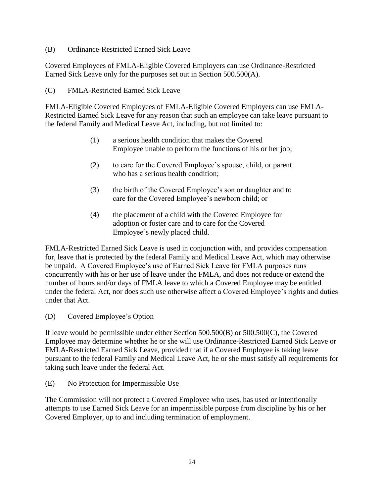## (B) Ordinance-Restricted Earned Sick Leave

Covered Employees of FMLA-Eligible Covered Employers can use Ordinance-Restricted Earned Sick Leave only for the purposes set out in Section 500.500(A).

## (C) FMLA-Restricted Earned Sick Leave

FMLA-Eligible Covered Employees of FMLA-Eligible Covered Employers can use FMLA-Restricted Earned Sick Leave for any reason that such an employee can take leave pursuant to the federal Family and Medical Leave Act, including, but not limited to:

- (1) a serious health condition that makes the Covered Employee unable to perform the functions of his or her job;
- (2) to care for the Covered Employee's spouse, child, or parent who has a serious health condition;
- (3) the birth of the Covered Employee's son or daughter and to care for the Covered Employee's newborn child; or
- (4) the placement of a child with the Covered Employee for adoption or foster care and to care for the Covered Employee's newly placed child.

FMLA-Restricted Earned Sick Leave is used in conjunction with, and provides compensation for, leave that is protected by the federal Family and Medical Leave Act, which may otherwise be unpaid. A Covered Employee's use of Earned Sick Leave for FMLA purposes runs concurrently with his or her use of leave under the FMLA, and does not reduce or extend the number of hours and/or days of FMLA leave to which a Covered Employee may be entitled under the federal Act, nor does such use otherwise affect a Covered Employee's rights and duties under that Act.

## (D) Covered Employee's Option

If leave would be permissible under either Section 500.500(B) or 500.500(C), the Covered Employee may determine whether he or she will use Ordinance-Restricted Earned Sick Leave or FMLA-Restricted Earned Sick Leave, provided that if a Covered Employee is taking leave pursuant to the federal Family and Medical Leave Act, he or she must satisfy all requirements for taking such leave under the federal Act.

#### (E) No Protection for Impermissible Use

The Commission will not protect a Covered Employee who uses, has used or intentionally attempts to use Earned Sick Leave for an impermissible purpose from discipline by his or her Covered Employer, up to and including termination of employment.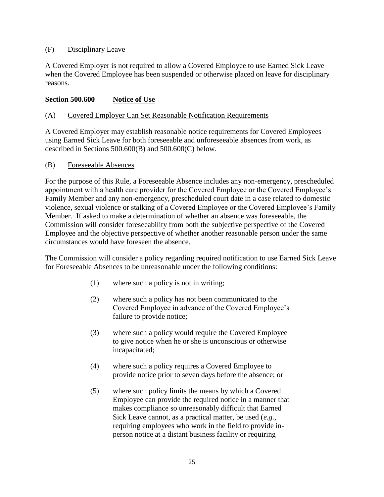## (F) Disciplinary Leave

A Covered Employer is not required to allow a Covered Employee to use Earned Sick Leave when the Covered Employee has been suspended or otherwise placed on leave for disciplinary reasons.

#### **Section 500.600 Notice of Use**

#### (A) Covered Employer Can Set Reasonable Notification Requirements

A Covered Employer may establish reasonable notice requirements for Covered Employees using Earned Sick Leave for both foreseeable and unforeseeable absences from work, as described in Sections 500.600(B) and 500.600(C) below.

#### (B) Foreseeable Absences

For the purpose of this Rule, a Foreseeable Absence includes any non-emergency, prescheduled appointment with a health care provider for the Covered Employee or the Covered Employee's Family Member and any non-emergency, prescheduled court date in a case related to domestic violence, sexual violence or stalking of a Covered Employee or the Covered Employee's Family Member. If asked to make a determination of whether an absence was foreseeable, the Commission will consider foreseeability from both the subjective perspective of the Covered Employee and the objective perspective of whether another reasonable person under the same circumstances would have foreseen the absence.

The Commission will consider a policy regarding required notification to use Earned Sick Leave for Foreseeable Absences to be unreasonable under the following conditions:

- (1) where such a policy is not in writing;
- (2) where such a policy has not been communicated to the Covered Employee in advance of the Covered Employee's failure to provide notice;
- (3) where such a policy would require the Covered Employee to give notice when he or she is unconscious or otherwise incapacitated;
- (4) where such a policy requires a Covered Employee to provide notice prior to seven days before the absence; or
- (5) where such policy limits the means by which a Covered Employee can provide the required notice in a manner that makes compliance so unreasonably difficult that Earned Sick Leave cannot, as a practical matter, be used (*e.g.*, requiring employees who work in the field to provide inperson notice at a distant business facility or requiring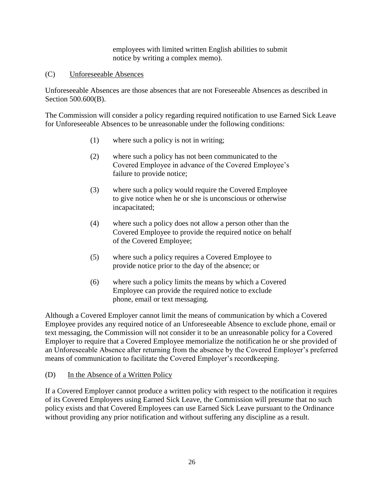employees with limited written English abilities to submit notice by writing a complex memo).

## (C) Unforeseeable Absences

Unforeseeable Absences are those absences that are not Foreseeable Absences as described in Section 500.600(B).

The Commission will consider a policy regarding required notification to use Earned Sick Leave for Unforeseeable Absences to be unreasonable under the following conditions:

- (1) where such a policy is not in writing;
- (2) where such a policy has not been communicated to the Covered Employee in advance of the Covered Employee's failure to provide notice;
- (3) where such a policy would require the Covered Employee to give notice when he or she is unconscious or otherwise incapacitated;
- (4) where such a policy does not allow a person other than the Covered Employee to provide the required notice on behalf of the Covered Employee;
- (5) where such a policy requires a Covered Employee to provide notice prior to the day of the absence; or
- (6) where such a policy limits the means by which a Covered Employee can provide the required notice to exclude phone, email or text messaging.

Although a Covered Employer cannot limit the means of communication by which a Covered Employee provides any required notice of an Unforeseeable Absence to exclude phone, email or text messaging, the Commission will not consider it to be an unreasonable policy for a Covered Employer to require that a Covered Employee memorialize the notification he or she provided of an Unforeseeable Absence after returning from the absence by the Covered Employer's preferred means of communication to facilitate the Covered Employer's recordkeeping.

#### (D) In the Absence of a Written Policy

If a Covered Employer cannot produce a written policy with respect to the notification it requires of its Covered Employees using Earned Sick Leave, the Commission will presume that no such policy exists and that Covered Employees can use Earned Sick Leave pursuant to the Ordinance without providing any prior notification and without suffering any discipline as a result.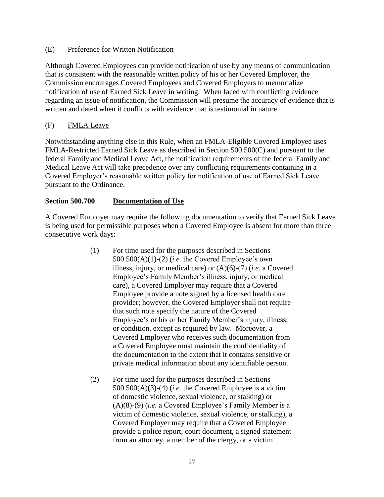## (E) Preference for Written Notification

Although Covered Employees can provide notification of use by any means of communication that is consistent with the reasonable written policy of his or her Covered Employer, the Commission encourages Covered Employees and Covered Employers to memorialize notification of use of Earned Sick Leave in writing. When faced with conflicting evidence regarding an issue of notification, the Commission will presume the accuracy of evidence that is written and dated when it conflicts with evidence that is testimonial in nature.

## (F) FMLA Leave

Notwithstanding anything else in this Rule, when an FMLA-Eligible Covered Employee uses FMLA-Restricted Earned Sick Leave as described in Section 500.500(C) and pursuant to the federal Family and Medical Leave Act, the notification requirements of the federal Family and Medical Leave Act will take precedence over any conflicting requirements containing in a Covered Employer's reasonable written policy for notification of use of Earned Sick Leave pursuant to the Ordinance.

## **Section 500.700 Documentation of Use**

A Covered Employer may require the following documentation to verify that Earned Sick Leave is being used for permissible purposes when a Covered Employee is absent for more than three consecutive work days:

- (1) For time used for the purposes described in Sections 500.500(A)(1)-(2) (*i.e.* the Covered Employee's own illness, injury, or medical care) or (A)(6)-(7) (*i.e.* a Covered Employee's Family Member's illness, injury, or medical care), a Covered Employer may require that a Covered Employee provide a note signed by a licensed health care provider; however, the Covered Employer shall not require that such note specify the nature of the Covered Employee's or his or her Family Member's injury, illness, or condition, except as required by law. Moreover, a Covered Employer who receives such documentation from a Covered Employee must maintain the confidentiality of the documentation to the extent that it contains sensitive or private medical information about any identifiable person.
- (2) For time used for the purposes described in Sections 500.500(A)(3)-(4) (*i.e.* the Covered Employee is a victim of domestic violence, sexual violence, or stalking) or (A)(8)-(9) (*i.e.* a Covered Employee's Family Member is a victim of domestic violence, sexual violence, or stalking), a Covered Employer may require that a Covered Employee provide a police report, court document, a signed statement from an attorney, a member of the clergy, or a victim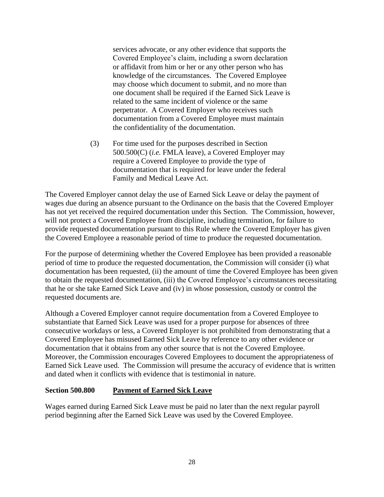services advocate, or any other evidence that supports the Covered Employee's claim, including a sworn declaration or affidavit from him or her or any other person who has knowledge of the circumstances. The Covered Employee may choose which document to submit, and no more than one document shall be required if the Earned Sick Leave is related to the same incident of violence or the same perpetrator. A Covered Employer who receives such documentation from a Covered Employee must maintain the confidentiality of the documentation.

(3) For time used for the purposes described in Section 500.500(C) (*i.e.* FMLA leave), a Covered Employer may require a Covered Employee to provide the type of documentation that is required for leave under the federal Family and Medical Leave Act.

The Covered Employer cannot delay the use of Earned Sick Leave or delay the payment of wages due during an absence pursuant to the Ordinance on the basis that the Covered Employer has not yet received the required documentation under this Section. The Commission, however, will not protect a Covered Employee from discipline, including termination, for failure to provide requested documentation pursuant to this Rule where the Covered Employer has given the Covered Employee a reasonable period of time to produce the requested documentation.

For the purpose of determining whether the Covered Employee has been provided a reasonable period of time to produce the requested documentation, the Commission will consider (i) what documentation has been requested, (ii) the amount of time the Covered Employee has been given to obtain the requested documentation, (iii) the Covered Employee's circumstances necessitating that he or she take Earned Sick Leave and (iv) in whose possession, custody or control the requested documents are.

Although a Covered Employer cannot require documentation from a Covered Employee to substantiate that Earned Sick Leave was used for a proper purpose for absences of three consecutive workdays or less, a Covered Employer is not prohibited from demonstrating that a Covered Employee has misused Earned Sick Leave by reference to any other evidence or documentation that it obtains from any other source that is not the Covered Employee. Moreover, the Commission encourages Covered Employees to document the appropriateness of Earned Sick Leave used. The Commission will presume the accuracy of evidence that is written and dated when it conflicts with evidence that is testimonial in nature.

## **Section 500.800 Payment of Earned Sick Leave**

Wages earned during Earned Sick Leave must be paid no later than the next regular payroll period beginning after the Earned Sick Leave was used by the Covered Employee.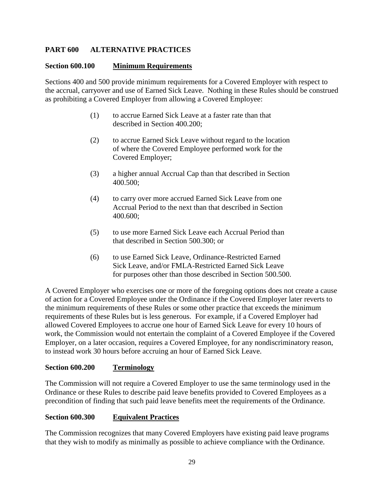## **PART 600 ALTERNATIVE PRACTICES**

#### **Section 600.100 Minimum Requirements**

Sections 400 and 500 provide minimum requirements for a Covered Employer with respect to the accrual, carryover and use of Earned Sick Leave. Nothing in these Rules should be construed as prohibiting a Covered Employer from allowing a Covered Employee:

- (1) to accrue Earned Sick Leave at a faster rate than that described in Section 400.200;
- (2) to accrue Earned Sick Leave without regard to the location of where the Covered Employee performed work for the Covered Employer;
- (3) a higher annual Accrual Cap than that described in Section 400.500;
- (4) to carry over more accrued Earned Sick Leave from one Accrual Period to the next than that described in Section 400.600;
- (5) to use more Earned Sick Leave each Accrual Period than that described in Section 500.300; or
- (6) to use Earned Sick Leave, Ordinance-Restricted Earned Sick Leave, and/or FMLA-Restricted Earned Sick Leave for purposes other than those described in Section 500.500.

A Covered Employer who exercises one or more of the foregoing options does not create a cause of action for a Covered Employee under the Ordinance if the Covered Employer later reverts to the minimum requirements of these Rules or some other practice that exceeds the minimum requirements of these Rules but is less generous. For example, if a Covered Employer had allowed Covered Employees to accrue one hour of Earned Sick Leave for every 10 hours of work, the Commission would not entertain the complaint of a Covered Employee if the Covered Employer, on a later occasion, requires a Covered Employee, for any nondiscriminatory reason, to instead work 30 hours before accruing an hour of Earned Sick Leave.

#### **Section 600.200 Terminology**

The Commission will not require a Covered Employer to use the same terminology used in the Ordinance or these Rules to describe paid leave benefits provided to Covered Employees as a precondition of finding that such paid leave benefits meet the requirements of the Ordinance.

#### **Section 600.300 Equivalent Practices**

The Commission recognizes that many Covered Employers have existing paid leave programs that they wish to modify as minimally as possible to achieve compliance with the Ordinance.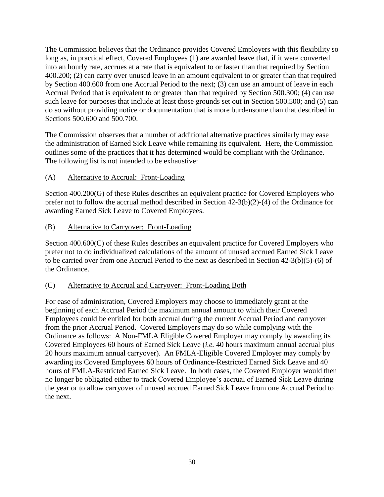The Commission believes that the Ordinance provides Covered Employers with this flexibility so long as, in practical effect, Covered Employees (1) are awarded leave that, if it were converted into an hourly rate, accrues at a rate that is equivalent to or faster than that required by Section 400.200; (2) can carry over unused leave in an amount equivalent to or greater than that required by Section 400.600 from one Accrual Period to the next; (3) can use an amount of leave in each Accrual Period that is equivalent to or greater than that required by Section 500.300; (4) can use such leave for purposes that include at least those grounds set out in Section 500.500; and (5) can do so without providing notice or documentation that is more burdensome than that described in Sections 500.600 and 500.700.

The Commission observes that a number of additional alternative practices similarly may ease the administration of Earned Sick Leave while remaining its equivalent. Here, the Commission outlines some of the practices that it has determined would be compliant with the Ordinance. The following list is not intended to be exhaustive:

(A) Alternative to Accrual: Front-Loading

Section 400.200(G) of these Rules describes an equivalent practice for Covered Employers who prefer not to follow the accrual method described in Section 42-3(b)(2)-(4) of the Ordinance for awarding Earned Sick Leave to Covered Employees.

(B) Alternative to Carryover: Front-Loading

Section 400.600(C) of these Rules describes an equivalent practice for Covered Employers who prefer not to do individualized calculations of the amount of unused accrued Earned Sick Leave to be carried over from one Accrual Period to the next as described in Section 42-3(b)(5)-(6) of the Ordinance.

## (C) Alternative to Accrual and Carryover: Front-Loading Both

For ease of administration, Covered Employers may choose to immediately grant at the beginning of each Accrual Period the maximum annual amount to which their Covered Employees could be entitled for both accrual during the current Accrual Period and carryover from the prior Accrual Period. Covered Employers may do so while complying with the Ordinance as follows: A Non-FMLA Eligible Covered Employer may comply by awarding its Covered Employees 60 hours of Earned Sick Leave (*i.e.* 40 hours maximum annual accrual plus 20 hours maximum annual carryover). An FMLA-Eligible Covered Employer may comply by awarding its Covered Employees 60 hours of Ordinance-Restricted Earned Sick Leave and 40 hours of FMLA-Restricted Earned Sick Leave. In both cases, the Covered Employer would then no longer be obligated either to track Covered Employee's accrual of Earned Sick Leave during the year or to allow carryover of unused accrued Earned Sick Leave from one Accrual Period to the next.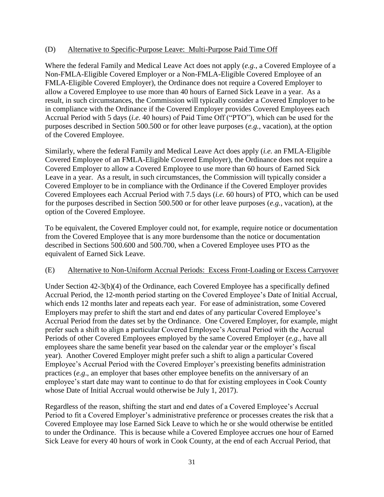#### (D) Alternative to Specific-Purpose Leave: Multi-Purpose Paid Time Off

Where the federal Family and Medical Leave Act does not apply (*e.g.*, a Covered Employee of a Non-FMLA-Eligible Covered Employer or a Non-FMLA-Eligible Covered Employee of an FMLA-Eligible Covered Employer), the Ordinance does not require a Covered Employer to allow a Covered Employee to use more than 40 hours of Earned Sick Leave in a year. As a result, in such circumstances, the Commission will typically consider a Covered Employer to be in compliance with the Ordinance if the Covered Employer provides Covered Employees each Accrual Period with 5 days (*i.e.* 40 hours) of Paid Time Off ("PTO"), which can be used for the purposes described in Section 500.500 or for other leave purposes (*e.g.*, vacation), at the option of the Covered Employee.

Similarly, where the federal Family and Medical Leave Act does apply (*i.e.* an FMLA-Eligible Covered Employee of an FMLA-Eligible Covered Employer), the Ordinance does not require a Covered Employer to allow a Covered Employee to use more than 60 hours of Earned Sick Leave in a year. As a result, in such circumstances, the Commission will typically consider a Covered Employer to be in compliance with the Ordinance if the Covered Employer provides Covered Employees each Accrual Period with 7.5 days (*i.e.* 60 hours) of PTO, which can be used for the purposes described in Section 500.500 or for other leave purposes (*e.g.*, vacation), at the option of the Covered Employee.

To be equivalent, the Covered Employer could not, for example, require notice or documentation from the Covered Employee that is any more burdensome than the notice or documentation described in Sections 500.600 and 500.700, when a Covered Employee uses PTO as the equivalent of Earned Sick Leave.

#### (E) Alternative to Non-Uniform Accrual Periods: Excess Front-Loading or Excess Carryover

Under Section 42-3(b)(4) of the Ordinance, each Covered Employee has a specifically defined Accrual Period, the 12-month period starting on the Covered Employee's Date of Initial Accrual, which ends 12 months later and repeats each year. For ease of administration, some Covered Employers may prefer to shift the start and end dates of any particular Covered Employee's Accrual Period from the dates set by the Ordinance. One Covered Employer, for example, might prefer such a shift to align a particular Covered Employee's Accrual Period with the Accrual Periods of other Covered Employees employed by the same Covered Employer (*e.g.*, have all employees share the same benefit year based on the calendar year or the employer's fiscal year). Another Covered Employer might prefer such a shift to align a particular Covered Employee's Accrual Period with the Covered Employer's preexisting benefits administration practices (*e.g*., an employer that bases other employee benefits on the anniversary of an employee's start date may want to continue to do that for existing employees in Cook County whose Date of Initial Accrual would otherwise be July 1, 2017).

Regardless of the reason, shifting the start and end dates of a Covered Employee's Accrual Period to fit a Covered Employer's administrative preference or processes creates the risk that a Covered Employee may lose Earned Sick Leave to which he or she would otherwise be entitled to under the Ordinance. This is because while a Covered Employee accrues one hour of Earned Sick Leave for every 40 hours of work in Cook County, at the end of each Accrual Period, that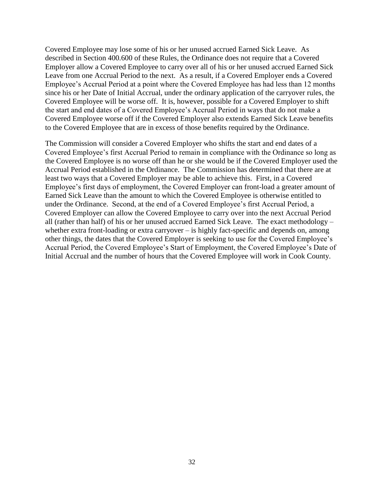Covered Employee may lose some of his or her unused accrued Earned Sick Leave. As described in Section 400.600 of these Rules, the Ordinance does not require that a Covered Employer allow a Covered Employee to carry over all of his or her unused accrued Earned Sick Leave from one Accrual Period to the next. As a result, if a Covered Employer ends a Covered Employee's Accrual Period at a point where the Covered Employee has had less than 12 months since his or her Date of Initial Accrual, under the ordinary application of the carryover rules, the Covered Employee will be worse off. It is, however, possible for a Covered Employer to shift the start and end dates of a Covered Employee's Accrual Period in ways that do not make a Covered Employee worse off if the Covered Employer also extends Earned Sick Leave benefits to the Covered Employee that are in excess of those benefits required by the Ordinance.

The Commission will consider a Covered Employer who shifts the start and end dates of a Covered Employee's first Accrual Period to remain in compliance with the Ordinance so long as the Covered Employee is no worse off than he or she would be if the Covered Employer used the Accrual Period established in the Ordinance. The Commission has determined that there are at least two ways that a Covered Employer may be able to achieve this. First, in a Covered Employee's first days of employment, the Covered Employer can front-load a greater amount of Earned Sick Leave than the amount to which the Covered Employee is otherwise entitled to under the Ordinance. Second, at the end of a Covered Employee's first Accrual Period, a Covered Employer can allow the Covered Employee to carry over into the next Accrual Period all (rather than half) of his or her unused accrued Earned Sick Leave. The exact methodology – whether extra front-loading or extra carryover – is highly fact-specific and depends on, among other things, the dates that the Covered Employer is seeking to use for the Covered Employee's Accrual Period, the Covered Employee's Start of Employment, the Covered Employee's Date of Initial Accrual and the number of hours that the Covered Employee will work in Cook County.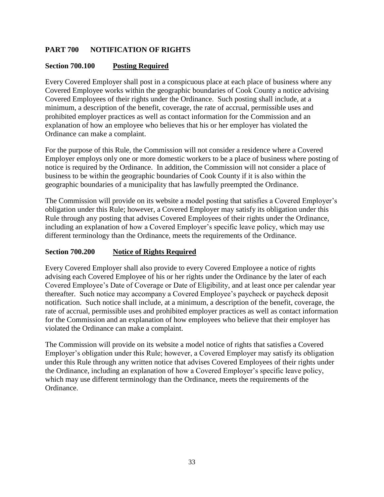# **PART 700 NOTIFICATION OF RIGHTS**

## **Section 700.100 Posting Required**

Every Covered Employer shall post in a conspicuous place at each place of business where any Covered Employee works within the geographic boundaries of Cook County a notice advising Covered Employees of their rights under the Ordinance. Such posting shall include, at a minimum, a description of the benefit, coverage, the rate of accrual, permissible uses and prohibited employer practices as well as contact information for the Commission and an explanation of how an employee who believes that his or her employer has violated the Ordinance can make a complaint.

For the purpose of this Rule, the Commission will not consider a residence where a Covered Employer employs only one or more domestic workers to be a place of business where posting of notice is required by the Ordinance. In addition, the Commission will not consider a place of business to be within the geographic boundaries of Cook County if it is also within the geographic boundaries of a municipality that has lawfully preempted the Ordinance.

The Commission will provide on its website a model posting that satisfies a Covered Employer's obligation under this Rule; however, a Covered Employer may satisfy its obligation under this Rule through any posting that advises Covered Employees of their rights under the Ordinance, including an explanation of how a Covered Employer's specific leave policy, which may use different terminology than the Ordinance, meets the requirements of the Ordinance.

#### **Section 700.200 Notice of Rights Required**

Every Covered Employer shall also provide to every Covered Employee a notice of rights advising each Covered Employee of his or her rights under the Ordinance by the later of each Covered Employee's Date of Coverage or Date of Eligibility, and at least once per calendar year thereafter. Such notice may accompany a Covered Employee's paycheck or paycheck deposit notification. Such notice shall include, at a minimum, a description of the benefit, coverage, the rate of accrual, permissible uses and prohibited employer practices as well as contact information for the Commission and an explanation of how employees who believe that their employer has violated the Ordinance can make a complaint.

The Commission will provide on its website a model notice of rights that satisfies a Covered Employer's obligation under this Rule; however, a Covered Employer may satisfy its obligation under this Rule through any written notice that advises Covered Employees of their rights under the Ordinance, including an explanation of how a Covered Employer's specific leave policy, which may use different terminology than the Ordinance, meets the requirements of the Ordinance.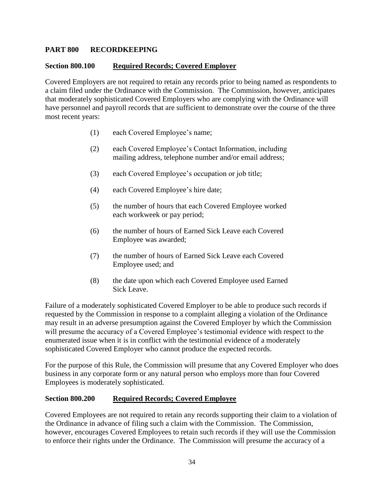## **PART 800 RECORDKEEPING**

#### **Section 800.100 Required Records; Covered Employer**

Covered Employers are not required to retain any records prior to being named as respondents to a claim filed under the Ordinance with the Commission. The Commission, however, anticipates that moderately sophisticated Covered Employers who are complying with the Ordinance will have personnel and payroll records that are sufficient to demonstrate over the course of the three most recent years:

- (1) each Covered Employee's name;
- (2) each Covered Employee's Contact Information, including mailing address, telephone number and/or email address;
- (3) each Covered Employee's occupation or job title;
- (4) each Covered Employee's hire date;
- (5) the number of hours that each Covered Employee worked each workweek or pay period;
- (6) the number of hours of Earned Sick Leave each Covered Employee was awarded;
- (7) the number of hours of Earned Sick Leave each Covered Employee used; and
- (8) the date upon which each Covered Employee used Earned Sick Leave.

Failure of a moderately sophisticated Covered Employer to be able to produce such records if requested by the Commission in response to a complaint alleging a violation of the Ordinance may result in an adverse presumption against the Covered Employer by which the Commission will presume the accuracy of a Covered Employee's testimonial evidence with respect to the enumerated issue when it is in conflict with the testimonial evidence of a moderately sophisticated Covered Employer who cannot produce the expected records.

For the purpose of this Rule, the Commission will presume that any Covered Employer who does business in any corporate form or any natural person who employs more than four Covered Employees is moderately sophisticated.

#### **Section 800.200 Required Records; Covered Employee**

Covered Employees are not required to retain any records supporting their claim to a violation of the Ordinance in advance of filing such a claim with the Commission. The Commission, however, encourages Covered Employees to retain such records if they will use the Commission to enforce their rights under the Ordinance. The Commission will presume the accuracy of a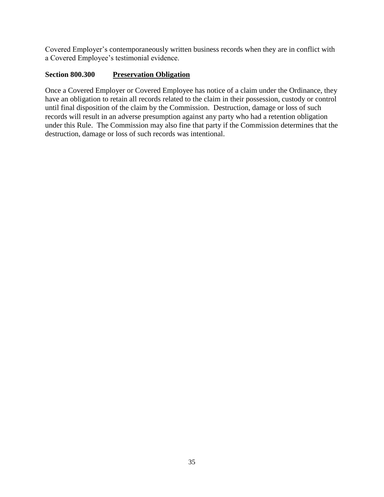Covered Employer's contemporaneously written business records when they are in conflict with a Covered Employee's testimonial evidence.

# **Section 800.300 Preservation Obligation**

Once a Covered Employer or Covered Employee has notice of a claim under the Ordinance, they have an obligation to retain all records related to the claim in their possession, custody or control until final disposition of the claim by the Commission. Destruction, damage or loss of such records will result in an adverse presumption against any party who had a retention obligation under this Rule. The Commission may also fine that party if the Commission determines that the destruction, damage or loss of such records was intentional.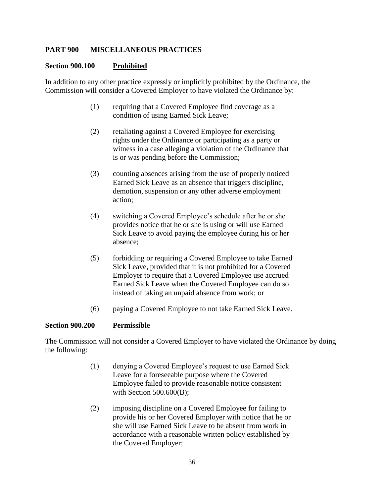#### **PART 900 MISCELLANEOUS PRACTICES**

#### **Section 900.100 Prohibited**

In addition to any other practice expressly or implicitly prohibited by the Ordinance, the Commission will consider a Covered Employer to have violated the Ordinance by:

- (1) requiring that a Covered Employee find coverage as a condition of using Earned Sick Leave;
- (2) retaliating against a Covered Employee for exercising rights under the Ordinance or participating as a party or witness in a case alleging a violation of the Ordinance that is or was pending before the Commission;
- (3) counting absences arising from the use of properly noticed Earned Sick Leave as an absence that triggers discipline, demotion, suspension or any other adverse employment action;
- (4) switching a Covered Employee's schedule after he or she provides notice that he or she is using or will use Earned Sick Leave to avoid paying the employee during his or her absence;
- (5) forbidding or requiring a Covered Employee to take Earned Sick Leave, provided that it is not prohibited for a Covered Employer to require that a Covered Employee use accrued Earned Sick Leave when the Covered Employee can do so instead of taking an unpaid absence from work; or
- (6) paying a Covered Employee to not take Earned Sick Leave.

#### **Section 900.200 Permissible**

The Commission will not consider a Covered Employer to have violated the Ordinance by doing the following:

- (1) denying a Covered Employee's request to use Earned Sick Leave for a foreseeable purpose where the Covered Employee failed to provide reasonable notice consistent with Section 500.600(B);
- (2) imposing discipline on a Covered Employee for failing to provide his or her Covered Employer with notice that he or she will use Earned Sick Leave to be absent from work in accordance with a reasonable written policy established by the Covered Employer;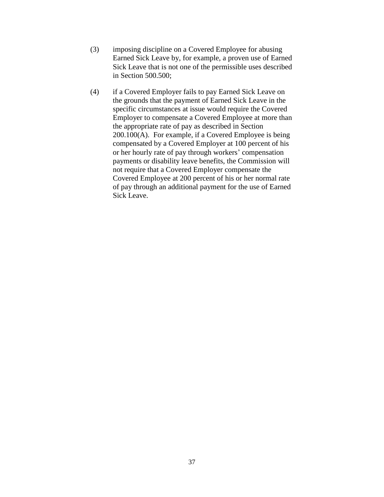- (3) imposing discipline on a Covered Employee for abusing Earned Sick Leave by, for example, a proven use of Earned Sick Leave that is not one of the permissible uses described in Section 500.500;
- (4) if a Covered Employer fails to pay Earned Sick Leave on the grounds that the payment of Earned Sick Leave in the specific circumstances at issue would require the Covered Employer to compensate a Covered Employee at more than the appropriate rate of pay as described in Section 200.100(A). For example, if a Covered Employee is being compensated by a Covered Employer at 100 percent of his or her hourly rate of pay through workers' compensation payments or disability leave benefits, the Commission will not require that a Covered Employer compensate the Covered Employee at 200 percent of his or her normal rate of pay through an additional payment for the use of Earned Sick Leave.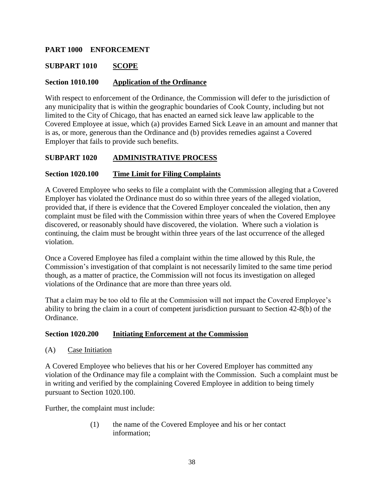## **PART 1000 ENFORCEMENT**

## **SUBPART 1010 SCOPE**

#### **Section 1010.100 Application of the Ordinance**

With respect to enforcement of the Ordinance, the Commission will defer to the jurisdiction of any municipality that is within the geographic boundaries of Cook County, including but not limited to the City of Chicago, that has enacted an earned sick leave law applicable to the Covered Employee at issue, which (a) provides Earned Sick Leave in an amount and manner that is as, or more, generous than the Ordinance and (b) provides remedies against a Covered Employer that fails to provide such benefits.

#### **SUBPART 1020 ADMINISTRATIVE PROCESS**

#### **Section 1020.100 Time Limit for Filing Complaints**

A Covered Employee who seeks to file a complaint with the Commission alleging that a Covered Employer has violated the Ordinance must do so within three years of the alleged violation, provided that, if there is evidence that the Covered Employer concealed the violation, then any complaint must be filed with the Commission within three years of when the Covered Employee discovered, or reasonably should have discovered, the violation. Where such a violation is continuing, the claim must be brought within three years of the last occurrence of the alleged violation.

Once a Covered Employee has filed a complaint within the time allowed by this Rule, the Commission's investigation of that complaint is not necessarily limited to the same time period though, as a matter of practice, the Commission will not focus its investigation on alleged violations of the Ordinance that are more than three years old.

That a claim may be too old to file at the Commission will not impact the Covered Employee's ability to bring the claim in a court of competent jurisdiction pursuant to Section 42-8(b) of the Ordinance.

#### **Section 1020.200 Initiating Enforcement at the Commission**

(A) Case Initiation

A Covered Employee who believes that his or her Covered Employer has committed any violation of the Ordinance may file a complaint with the Commission. Such a complaint must be in writing and verified by the complaining Covered Employee in addition to being timely pursuant to Section 1020.100.

Further, the complaint must include:

(1) the name of the Covered Employee and his or her contact information;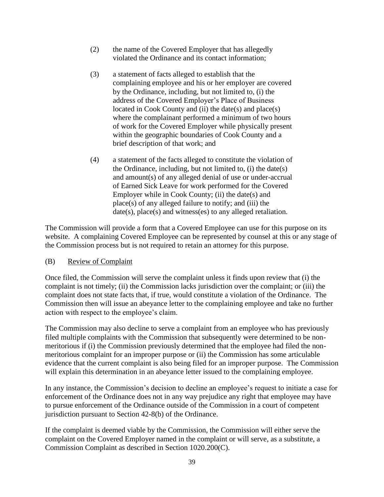- (2) the name of the Covered Employer that has allegedly violated the Ordinance and its contact information;
- (3) a statement of facts alleged to establish that the complaining employee and his or her employer are covered by the Ordinance, including, but not limited to, (i) the address of the Covered Employer's Place of Business located in Cook County and (ii) the date(s) and place(s) where the complainant performed a minimum of two hours of work for the Covered Employer while physically present within the geographic boundaries of Cook County and a brief description of that work; and
- (4) a statement of the facts alleged to constitute the violation of the Ordinance, including, but not limited to, (i) the date(s) and amount(s) of any alleged denial of use or under-accrual of Earned Sick Leave for work performed for the Covered Employer while in Cook County; (ii) the date(s) and place(s) of any alleged failure to notify; and (iii) the date(s), place(s) and witness(es) to any alleged retaliation.

The Commission will provide a form that a Covered Employee can use for this purpose on its website. A complaining Covered Employee can be represented by counsel at this or any stage of the Commission process but is not required to retain an attorney for this purpose.

## (B) Review of Complaint

Once filed, the Commission will serve the complaint unless it finds upon review that (i) the complaint is not timely; (ii) the Commission lacks jurisdiction over the complaint; or (iii) the complaint does not state facts that, if true, would constitute a violation of the Ordinance. The Commission then will issue an abeyance letter to the complaining employee and take no further action with respect to the employee's claim.

The Commission may also decline to serve a complaint from an employee who has previously filed multiple complaints with the Commission that subsequently were determined to be nonmeritorious if (i) the Commission previously determined that the employee had filed the nonmeritorious complaint for an improper purpose or (ii) the Commission has some articulable evidence that the current complaint is also being filed for an improper purpose. The Commission will explain this determination in an abeyance letter issued to the complaining employee.

In any instance, the Commission's decision to decline an employee's request to initiate a case for enforcement of the Ordinance does not in any way prejudice any right that employee may have to pursue enforcement of the Ordinance outside of the Commission in a court of competent jurisdiction pursuant to Section 42-8(b) of the Ordinance.

If the complaint is deemed viable by the Commission, the Commission will either serve the complaint on the Covered Employer named in the complaint or will serve, as a substitute, a Commission Complaint as described in Section 1020.200(C).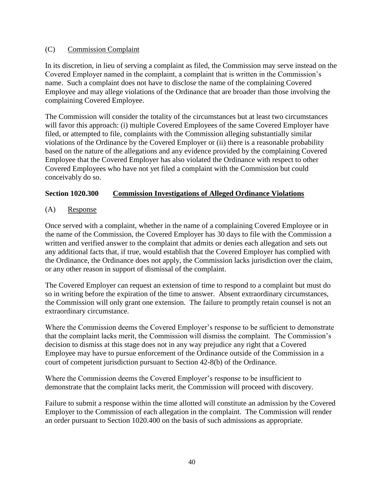### (C) Commission Complaint

In its discretion, in lieu of serving a complaint as filed, the Commission may serve instead on the Covered Employer named in the complaint, a complaint that is written in the Commission's name. Such a complaint does not have to disclose the name of the complaining Covered Employee and may allege violations of the Ordinance that are broader than those involving the complaining Covered Employee.

The Commission will consider the totality of the circumstances but at least two circumstances will favor this approach: (i) multiple Covered Employees of the same Covered Employer have filed, or attempted to file, complaints with the Commission alleging substantially similar violations of the Ordinance by the Covered Employer or (ii) there is a reasonable probability based on the nature of the allegations and any evidence provided by the complaining Covered Employee that the Covered Employer has also violated the Ordinance with respect to other Covered Employees who have not yet filed a complaint with the Commission but could conceivably do so.

## **Section 1020.300 Commission Investigations of Alleged Ordinance Violations**

(A) Response

Once served with a complaint, whether in the name of a complaining Covered Employee or in the name of the Commission, the Covered Employer has 30 days to file with the Commission a written and verified answer to the complaint that admits or denies each allegation and sets out any additional facts that, if true, would establish that the Covered Employer has complied with the Ordinance, the Ordinance does not apply, the Commission lacks jurisdiction over the claim, or any other reason in support of dismissal of the complaint.

The Covered Employer can request an extension of time to respond to a complaint but must do so in writing before the expiration of the time to answer. Absent extraordinary circumstances, the Commission will only grant one extension. The failure to promptly retain counsel is not an extraordinary circumstance.

Where the Commission deems the Covered Employer's response to be sufficient to demonstrate that the complaint lacks merit, the Commission will dismiss the complaint. The Commission's decision to dismiss at this stage does not in any way prejudice any right that a Covered Employee may have to pursue enforcement of the Ordinance outside of the Commission in a court of competent jurisdiction pursuant to Section 42-8(b) of the Ordinance.

Where the Commission deems the Covered Employer's response to be insufficient to demonstrate that the complaint lacks merit, the Commission will proceed with discovery.

Failure to submit a response within the time allotted will constitute an admission by the Covered Employer to the Commission of each allegation in the complaint. The Commission will render an order pursuant to Section 1020.400 on the basis of such admissions as appropriate.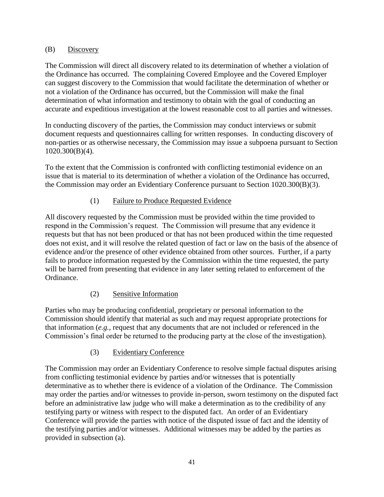## (B) Discovery

The Commission will direct all discovery related to its determination of whether a violation of the Ordinance has occurred. The complaining Covered Employee and the Covered Employer can suggest discovery to the Commission that would facilitate the determination of whether or not a violation of the Ordinance has occurred, but the Commission will make the final determination of what information and testimony to obtain with the goal of conducting an accurate and expeditious investigation at the lowest reasonable cost to all parties and witnesses.

In conducting discovery of the parties, the Commission may conduct interviews or submit document requests and questionnaires calling for written responses. In conducting discovery of non-parties or as otherwise necessary, the Commission may issue a subpoena pursuant to Section 1020.300(B)(4).

To the extent that the Commission is confronted with conflicting testimonial evidence on an issue that is material to its determination of whether a violation of the Ordinance has occurred, the Commission may order an Evidentiary Conference pursuant to Section 1020.300(B)(3).

# (1) Failure to Produce Requested Evidence

All discovery requested by the Commission must be provided within the time provided to respond in the Commission's request. The Commission will presume that any evidence it requests but that has not been produced or that has not been produced within the time requested does not exist, and it will resolve the related question of fact or law on the basis of the absence of evidence and/or the presence of other evidence obtained from other sources. Further, if a party fails to produce information requested by the Commission within the time requested, the party will be barred from presenting that evidence in any later setting related to enforcement of the Ordinance.

# (2) Sensitive Information

Parties who may be producing confidential, proprietary or personal information to the Commission should identify that material as such and may request appropriate protections for that information (*e.g.*, request that any documents that are not included or referenced in the Commission's final order be returned to the producing party at the close of the investigation).

## (3) Evidentiary Conference

The Commission may order an Evidentiary Conference to resolve simple factual disputes arising from conflicting testimonial evidence by parties and/or witnesses that is potentially determinative as to whether there is evidence of a violation of the Ordinance. The Commission may order the parties and/or witnesses to provide in-person, sworn testimony on the disputed fact before an administrative law judge who will make a determination as to the credibility of any testifying party or witness with respect to the disputed fact. An order of an Evidentiary Conference will provide the parties with notice of the disputed issue of fact and the identity of the testifying parties and/or witnesses. Additional witnesses may be added by the parties as provided in subsection (a).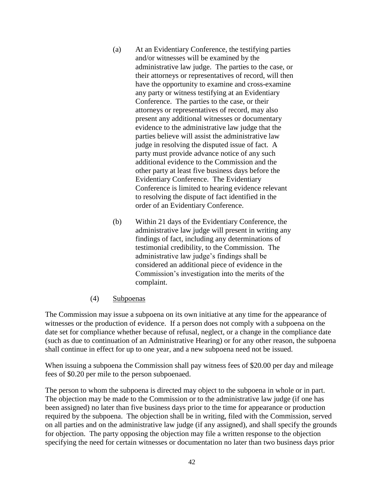- (a) At an Evidentiary Conference, the testifying parties and/or witnesses will be examined by the administrative law judge. The parties to the case, or their attorneys or representatives of record, will then have the opportunity to examine and cross-examine any party or witness testifying at an Evidentiary Conference. The parties to the case, or their attorneys or representatives of record, may also present any additional witnesses or documentary evidence to the administrative law judge that the parties believe will assist the administrative law judge in resolving the disputed issue of fact. A party must provide advance notice of any such additional evidence to the Commission and the other party at least five business days before the Evidentiary Conference. The Evidentiary Conference is limited to hearing evidence relevant to resolving the dispute of fact identified in the order of an Evidentiary Conference.
- (b) Within 21 days of the Evidentiary Conference, the administrative law judge will present in writing any findings of fact, including any determinations of testimonial credibility, to the Commission. The administrative law judge's findings shall be considered an additional piece of evidence in the Commission's investigation into the merits of the complaint.
- (4) Subpoenas

The Commission may issue a subpoena on its own initiative at any time for the appearance of witnesses or the production of evidence. If a person does not comply with a subpoena on the date set for compliance whether because of refusal, neglect, or a change in the compliance date (such as due to continuation of an Administrative Hearing) or for any other reason, the subpoena shall continue in effect for up to one year, and a new subpoena need not be issued.

When issuing a subpoena the Commission shall pay witness fees of \$20.00 per day and mileage fees of \$0.20 per mile to the person subpoenaed.

The person to whom the subpoena is directed may object to the subpoena in whole or in part. The objection may be made to the Commission or to the administrative law judge (if one has been assigned) no later than five business days prior to the time for appearance or production required by the subpoena. The objection shall be in writing, filed with the Commission, served on all parties and on the administrative law judge (if any assigned), and shall specify the grounds for objection. The party opposing the objection may file a written response to the objection specifying the need for certain witnesses or documentation no later than two business days prior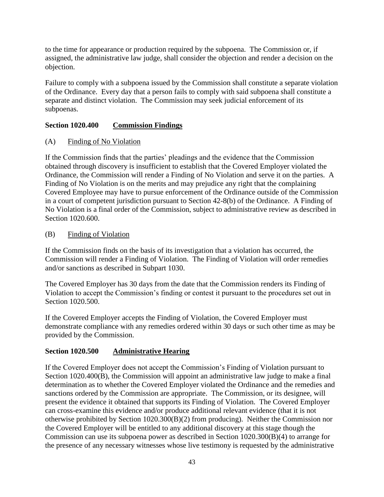to the time for appearance or production required by the subpoena. The Commission or, if assigned, the administrative law judge, shall consider the objection and render a decision on the objection.

Failure to comply with a subpoena issued by the Commission shall constitute a separate violation of the Ordinance. Every day that a person fails to comply with said subpoena shall constitute a separate and distinct violation. The Commission may seek judicial enforcement of its subpoenas.

## **Section 1020.400 Commission Findings**

(A) Finding of No Violation

If the Commission finds that the parties' pleadings and the evidence that the Commission obtained through discovery is insufficient to establish that the Covered Employer violated the Ordinance, the Commission will render a Finding of No Violation and serve it on the parties. A Finding of No Violation is on the merits and may prejudice any right that the complaining Covered Employee may have to pursue enforcement of the Ordinance outside of the Commission in a court of competent jurisdiction pursuant to Section 42-8(b) of the Ordinance. A Finding of No Violation is a final order of the Commission, subject to administrative review as described in Section 1020.600.

# (B) Finding of Violation

If the Commission finds on the basis of its investigation that a violation has occurred, the Commission will render a Finding of Violation. The Finding of Violation will order remedies and/or sanctions as described in Subpart 1030.

The Covered Employer has 30 days from the date that the Commission renders its Finding of Violation to accept the Commission's finding or contest it pursuant to the procedures set out in Section 1020.500.

If the Covered Employer accepts the Finding of Violation, the Covered Employer must demonstrate compliance with any remedies ordered within 30 days or such other time as may be provided by the Commission.

# **Section 1020.500 Administrative Hearing**

If the Covered Employer does not accept the Commission's Finding of Violation pursuant to Section 1020.400(B), the Commission will appoint an administrative law judge to make a final determination as to whether the Covered Employer violated the Ordinance and the remedies and sanctions ordered by the Commission are appropriate. The Commission, or its designee, will present the evidence it obtained that supports its Finding of Violation. The Covered Employer can cross-examine this evidence and/or produce additional relevant evidence (that it is not otherwise prohibited by Section 1020.300(B)(2) from producing). Neither the Commission nor the Covered Employer will be entitled to any additional discovery at this stage though the Commission can use its subpoena power as described in Section 1020.300(B)(4) to arrange for the presence of any necessary witnesses whose live testimony is requested by the administrative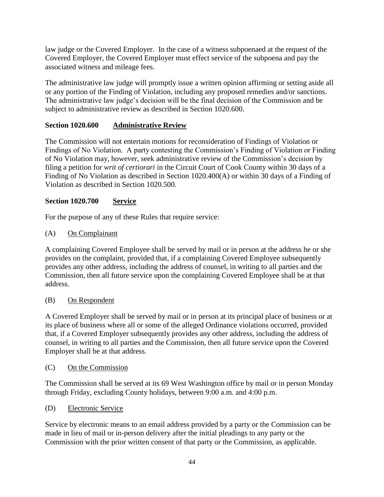law judge or the Covered Employer. In the case of a witness subpoenaed at the request of the Covered Employer, the Covered Employer must effect service of the subpoena and pay the associated witness and mileage fees.

The administrative law judge will promptly issue a written opinion affirming or setting aside all or any portion of the Finding of Violation, including any proposed remedies and/or sanctions. The administrative law judge's decision will be the final decision of the Commission and be subject to administrative review as described in Section 1020.600.

# **Section 1020.600 Administrative Review**

The Commission will not entertain motions for reconsideration of Findings of Violation or Findings of No Violation. A party contesting the Commission's Finding of Violation or Finding of No Violation may, however, seek administrative review of the Commission's decision by filing a petition for *writ of certiorari* in the Circuit Court of Cook County within 30 days of a Finding of No Violation as described in Section 1020.400(A) or within 30 days of a Finding of Violation as described in Section 1020.500.

## **Section 1020.700 Service**

For the purpose of any of these Rules that require service:

(A) On Complainant

A complaining Covered Employee shall be served by mail or in person at the address he or she provides on the complaint, provided that, if a complaining Covered Employee subsequently provides any other address, including the address of counsel, in writing to all parties and the Commission, then all future service upon the complaining Covered Employee shall be at that address.

#### (B) On Respondent

A Covered Employer shall be served by mail or in person at its principal place of business or at its place of business where all or some of the alleged Ordinance violations occurred, provided that, if a Covered Employer subsequently provides any other address, including the address of counsel, in writing to all parties and the Commission, then all future service upon the Covered Employer shall be at that address.

## (C) On the Commission

The Commission shall be served at its 69 West Washington office by mail or in person Monday through Friday, excluding County holidays, between 9:00 a.m. and 4:00 p.m.

#### (D) Electronic Service

Service by electronic means to an email address provided by a party or the Commission can be made in lieu of mail or in-person delivery after the initial pleadings to any party or the Commission with the prior written consent of that party or the Commission, as applicable.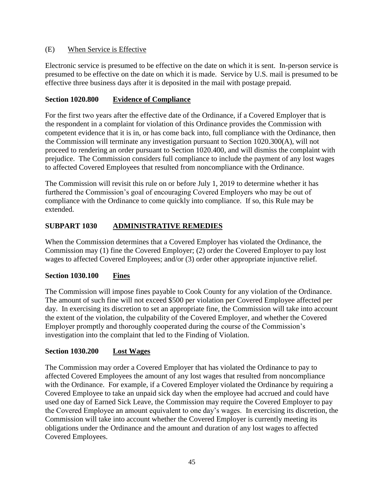## (E) When Service is Effective

Electronic service is presumed to be effective on the date on which it is sent. In-person service is presumed to be effective on the date on which it is made. Service by U.S. mail is presumed to be effective three business days after it is deposited in the mail with postage prepaid.

## **Section 1020.800 Evidence of Compliance**

For the first two years after the effective date of the Ordinance, if a Covered Employer that is the respondent in a complaint for violation of this Ordinance provides the Commission with competent evidence that it is in, or has come back into, full compliance with the Ordinance, then the Commission will terminate any investigation pursuant to Section 1020.300(A), will not proceed to rendering an order pursuant to Section 1020.400, and will dismiss the complaint with prejudice. The Commission considers full compliance to include the payment of any lost wages to affected Covered Employees that resulted from noncompliance with the Ordinance.

The Commission will revisit this rule on or before July 1, 2019 to determine whether it has furthered the Commission's goal of encouraging Covered Employers who may be out of compliance with the Ordinance to come quickly into compliance. If so, this Rule may be extended.

## **SUBPART 1030 ADMINISTRATIVE REMEDIES**

When the Commission determines that a Covered Employer has violated the Ordinance, the Commission may (1) fine the Covered Employer; (2) order the Covered Employer to pay lost wages to affected Covered Employees; and/or (3) order other appropriate injunctive relief.

## **Section 1030.100 Fines**

The Commission will impose fines payable to Cook County for any violation of the Ordinance. The amount of such fine will not exceed \$500 per violation per Covered Employee affected per day. In exercising its discretion to set an appropriate fine, the Commission will take into account the extent of the violation, the culpability of the Covered Employer, and whether the Covered Employer promptly and thoroughly cooperated during the course of the Commission's investigation into the complaint that led to the Finding of Violation.

#### **Section 1030.200 Lost Wages**

The Commission may order a Covered Employer that has violated the Ordinance to pay to affected Covered Employees the amount of any lost wages that resulted from noncompliance with the Ordinance. For example, if a Covered Employer violated the Ordinance by requiring a Covered Employee to take an unpaid sick day when the employee had accrued and could have used one day of Earned Sick Leave, the Commission may require the Covered Employer to pay the Covered Employee an amount equivalent to one day's wages. In exercising its discretion, the Commission will take into account whether the Covered Employer is currently meeting its obligations under the Ordinance and the amount and duration of any lost wages to affected Covered Employees.